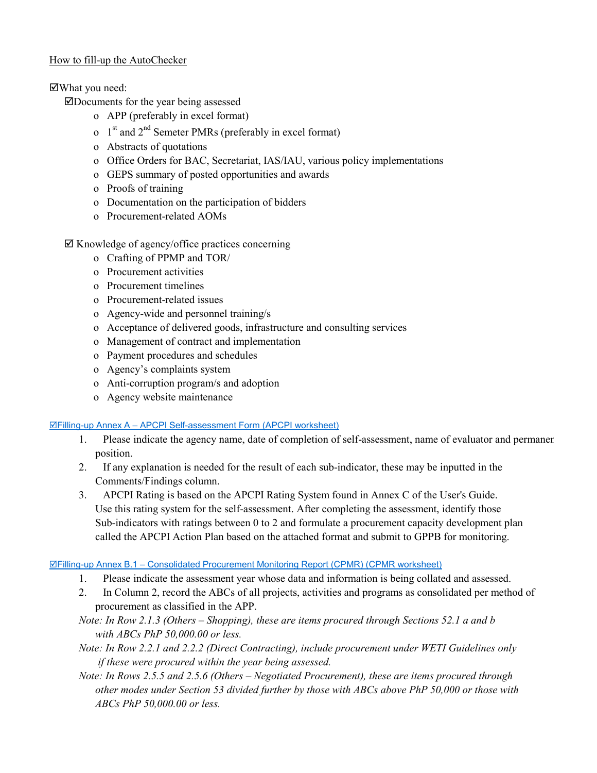# How to fill-up the AutoChecker

# What you need:

Documents for the year being assessed

- o APP (preferably in excel format)
- o  $1<sup>st</sup>$  and  $2<sup>nd</sup>$  Semeter PMRs (preferably in excel format)
- o Abstracts of quotations
- o Office Orders for BAC, Secretariat, IAS/IAU, various policy implementations
- o GEPS summary of posted opportunities and awards
- o Proofs of training
- o Documentation on the participation of bidders
- o Procurement-related AOMs
- $\boxtimes$  Knowledge of agency/office practices concerning
	- o Crafting of PPMP and TOR/
	- o Procurement activities
	- o Procurement timelines
	- o Procurement-related issues
	- o Agency-wide and personnel training/s
	- o Acceptance of delivered goods, infrastructure and consulting services
	- o Management of contract and implementation
	- o Payment procedures and schedules
	- o Agency's complaints system
	- o Anti-corruption program/s and adoption
	- o Agency website maintenance

## Filling-up Annex A – APCPI Self-assessment Form (APCPI worksheet)

- 1. Please indicate the agency name, date of completion of self-assessment, name of evaluator and permaner position.
- 2. If any explanation is needed for the result of each sub-indicator, these may be inputted in the Comments/Findings column.
- 3. APCPI Rating is based on the APCPI Rating System found in Annex C of the User's Guide. Use this rating system for the self-assessment. After completing the assessment, identify those Sub-indicators with ratings between 0 to 2 and formulate a procurement capacity development plan called the APCPI Action Plan based on the attached format and submit to GPPB for monitoring.

Filling-up Annex B.1 – Consolidated Procurement Monitoring Report (CPMR) (CPMR worksheet)

- 1. Please indicate the assessment year whose data and information is being collated and assessed.
- 2. In Column 2, record the ABCs of all projects, activities and programs as consolidated per method of procurement as classified in the APP.
- *Note: In Row 2.1.3 (Others Shopping), these are items procured through Sections 52.1 a and b with ABCs PhP 50,000.00 or less.*
- *Note: In Row 2.2.1 and 2.2.2 (Direct Contracting), include procurement under WETI Guidelines only if these were procured within the year being assessed.*
- *Note: In Rows 2.5.5 and 2.5.6 (Others Negotiated Procurement), these are items procured through other modes under Section 53 divided further by those with ABCs above PhP 50,000 or those with ABCs PhP 50,000.00 or less.*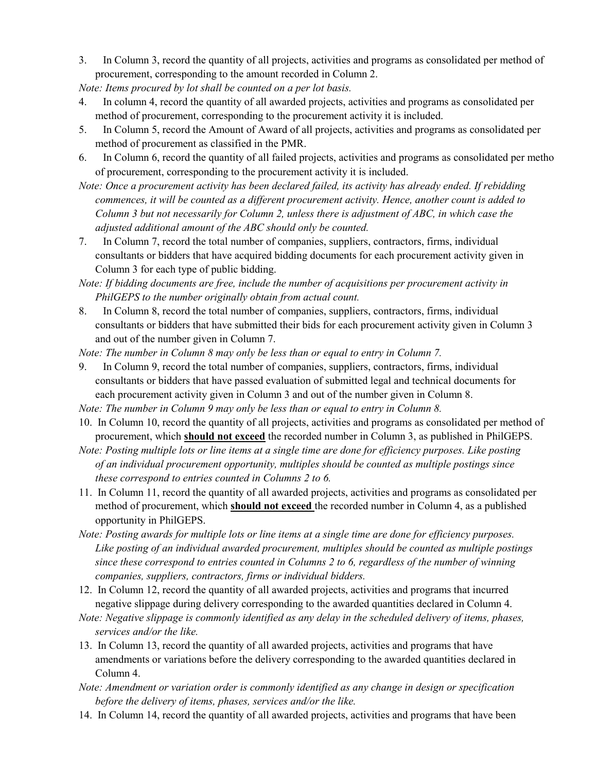3. In Column 3, record the quantity of all projects, activities and programs as consolidated per method of procurement, corresponding to the amount recorded in Column 2.

*Note: Items procured by lot shall be counted on a per lot basis.*

- 4. In column 4, record the quantity of all awarded projects, activities and programs as consolidated per method of procurement, corresponding to the procurement activity it is included.
- 5. In Column 5, record the Amount of Award of all projects, activities and programs as consolidated per method of procurement as classified in the PMR.
- 6. In Column 6, record the quantity of all failed projects, activities and programs as consolidated per metho of procurement, corresponding to the procurement activity it is included.
- *Note: Once a procurement activity has been declared failed, its activity has already ended. If rebidding commences, it will be counted as a different procurement activity. Hence, another count is added to Column 3 but not necessarily for Column 2, unless there is adjustment of ABC, in which case the adjusted additional amount of the ABC should only be counted.*
- 7. In Column 7, record the total number of companies, suppliers, contractors, firms, individual consultants or bidders that have acquired bidding documents for each procurement activity given in Column 3 for each type of public bidding.
- *Note: If bidding documents are free, include the number of acquisitions per procurement activity in PhilGEPS to the number originally obtain from actual count.*
- 8. In Column 8, record the total number of companies, suppliers, contractors, firms, individual consultants or bidders that have submitted their bids for each procurement activity given in Column 3 and out of the number given in Column 7.
- *Note: The number in Column 8 may only be less than or equal to entry in Column 7.*
- 9. In Column 9, record the total number of companies, suppliers, contractors, firms, individual consultants or bidders that have passed evaluation of submitted legal and technical documents for each procurement activity given in Column 3 and out of the number given in Column 8.
- *Note: The number in Column 9 may only be less than or equal to entry in Column 8.*
- 10. In Column 10, record the quantity of all projects, activities and programs as consolidated per method of procurement, which **should not exceed** the recorded number in Column 3, as published in PhilGEPS.
- *Note: Posting multiple lots or line items at a single time are done for efficiency purposes. Like posting of an individual procurement opportunity, multiples should be counted as multiple postings since these correspond to entries counted in Columns 2 to 6.*
- 11. In Column 11, record the quantity of all awarded projects, activities and programs as consolidated per method of procurement, which **should not exceed** the recorded number in Column 4, as a published opportunity in PhilGEPS.
- *Note: Posting awards for multiple lots or line items at a single time are done for efficiency purposes. Like posting of an individual awarded procurement, multiples should be counted as multiple postings since these correspond to entries counted in Columns 2 to 6, regardless of the number of winning companies, suppliers, contractors, firms or individual bidders.*
- 12. In Column 12, record the quantity of all awarded projects, activities and programs that incurred negative slippage during delivery corresponding to the awarded quantities declared in Column 4.
- *Note: Negative slippage is commonly identified as any delay in the scheduled delivery of items, phases, services and/or the like.*
- 13. In Column 13, record the quantity of all awarded projects, activities and programs that have amendments or variations before the delivery corresponding to the awarded quantities declared in Column 4.
- *Note: Amendment or variation order is commonly identified as any change in design or specification before the delivery of items, phases, services and/or the like.*
- 14. In Column 14, record the quantity of all awarded projects, activities and programs that have been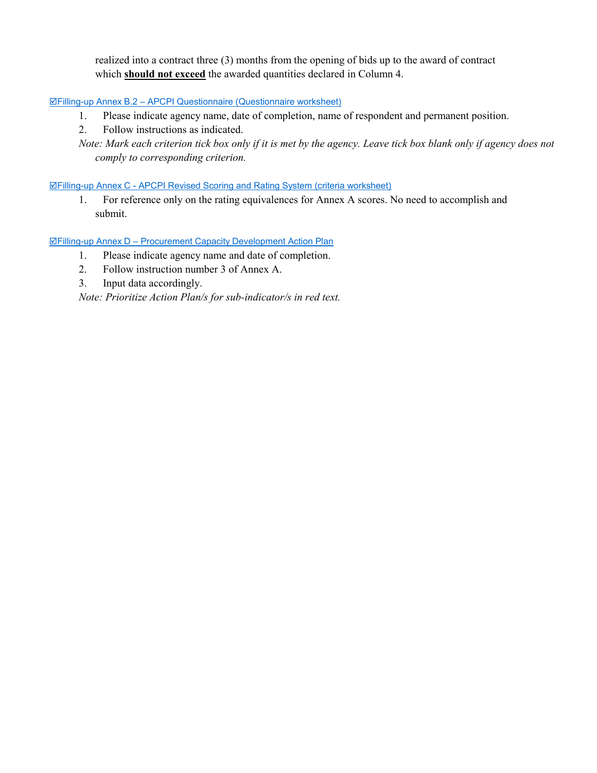realized into a contract three (3) months from the opening of bids up to the award of contract which **should not exceed** the awarded quantities declared in Column 4.

# Filling-up Annex B.2 – APCPI Questionnaire (Questionnaire worksheet)

- 1. Please indicate agency name, date of completion, name of respondent and permanent position.
- 2. Follow instructions as indicated.
- *Note: Mark each criterion tick box only if it is met by the agency. Leave tick box blank only if agency does not comply to corresponding criterion.*

Filling-up Annex C - APCPI Revised Scoring and Rating System (criteria worksheet)

1. For reference only on the rating equivalences for Annex A scores. No need to accomplish and submit.

Filling-up Annex D – Procurement Capacity Development Action Plan

- 1. Please indicate agency name and date of completion.
- 2. Follow instruction number 3 of Annex A.
- 3. Input data accordingly.

*Note: Prioritize Action Plan/s for sub-indicator/s in red text.*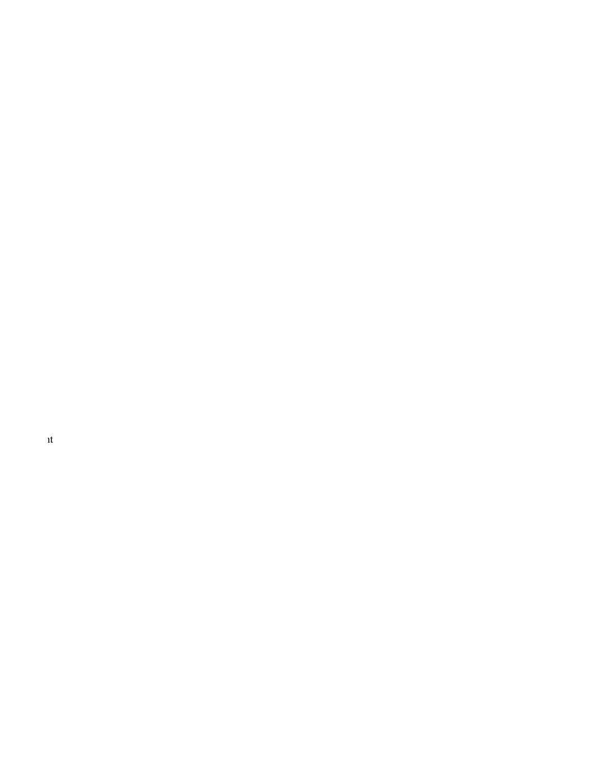$\frac{1}{\sqrt{2}}$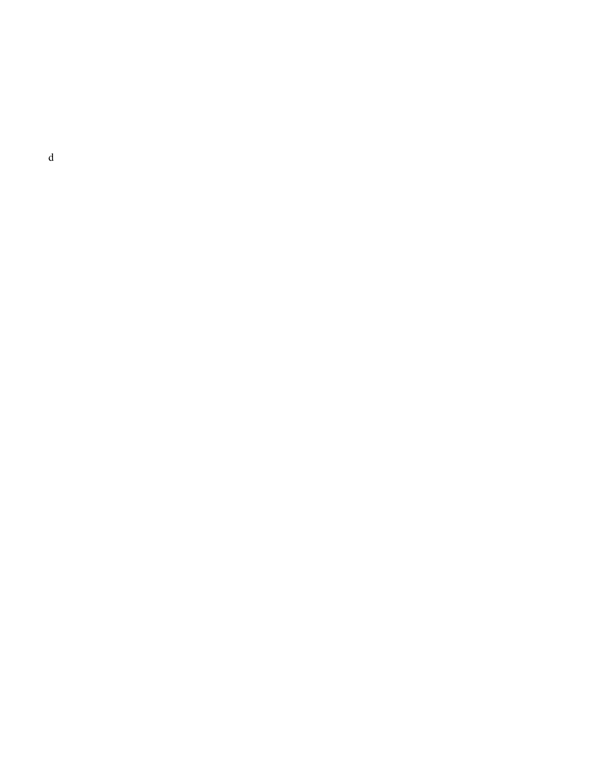$\mathbf d$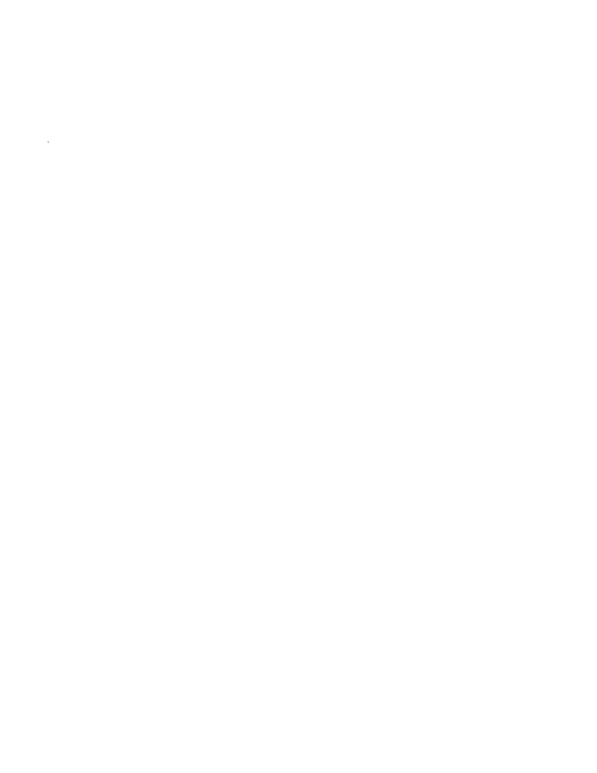*Note: Mark each criterion tick box only if it is met by the agency. Leave tick box blank only if agency does not*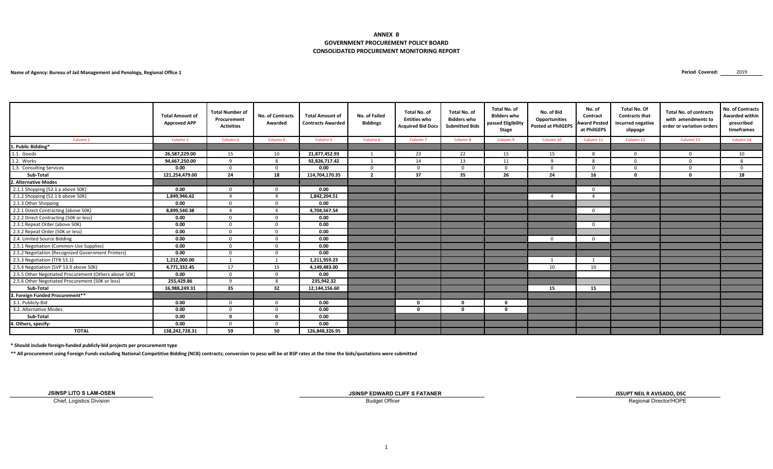#### **CONSOLIDATED PROCUREMENT MONITORING REPORT ANNEX B GOVERNMENT PROCUREMENT POLICY BOARD**

#### **Name of Agency: Bureau of Jail Management and Penology, Regional Office 1**

**Period Covered:** 2019

| Total No. of<br><b>Total No. Of</b><br>No. of<br>No. of Bid<br><b>Total Number of</b><br>Total No. of<br>Total No. of<br><b>Total No. of contracts</b><br>No. of Failed<br><b>Bidders who</b><br><b>Total Amount of</b><br><b>Total Amount of</b><br><b>No. of Contracts</b><br>Contract<br><b>Contracts that</b><br><b>Opportunities</b><br><b>Entities who</b><br><b>Bidders who</b><br>with amendments to<br>Procurement<br>passed Eligibility<br><b>Biddings</b><br>prescribed<br><b>Approved APP</b><br><b>Award Posted</b><br>incurred negative<br>Awarded<br><b>Contracts Awarded</b><br><b>Posted at PhilGEPS</b><br><b>Activities</b><br><b>Submitted Bids</b><br>order or variation orders<br><b>Acquired Bid Docs</b><br>timeframes<br>at PhilGEPS<br>slippage<br>Stage<br>Column <sub>1</sub><br>Column <sub>2</sub><br>Column <sub>3</sub><br>Column <sub>4</sub><br>Column <sub>5</sub><br>Column <sub>6</sub><br>Column <sub>7</sub><br>Column 9<br>Column 10<br>Column 13<br>Column 14<br>Column 8<br>Column 11<br>Column 12<br>1. Public Bidding*<br>26.587.229.00<br>21,877,452.93<br>1.1. Goods<br>15<br>15<br>10<br>23<br>22<br>15<br>- 8<br>$\overline{0}$<br>10<br>$\Omega$<br>1.2. Works<br>94,667,250.00<br>92,826,717.42<br>13<br>$\Omega$<br>9<br>14<br>8<br>$\Omega$<br>8<br>$\mathbf{R}$<br>11<br>$\mathsf{q}$<br>1.3. Consulting Services<br>0.00<br>0.00<br>$\mathbf{0}$<br>$\Omega$<br>$\Omega$<br>$\Omega$<br>$\Omega$<br>$\Omega$<br>$\Omega$<br>$\mathbf 0$<br>$\overline{0}$<br>$\Omega$<br>$\Omega$<br>121,254,479.00<br>24<br>26<br>Sub-Total<br>18<br>114,704,170.35<br>37<br>35<br>24<br>16<br>18<br>$\overline{2}$<br>$\mathbf{0}$<br>$\mathbf{0}$<br>2. Alternative Modes<br>2.1.1 Shopping (52.1 a above 50K)<br>0.00<br>0.00<br>$\Omega$<br>$\Omega$<br>$\Omega$<br>2.1.2 Shopping (52.1 b above 50K)<br>1,849,946.62<br>1,842,204.51<br>$\Delta$<br>$\Delta$<br>$\Lambda$<br>$\overline{a}$<br>2.1.3 Other Shopping<br>0.00<br>0.00<br>$\Omega$<br>$\Omega$<br>2.2.1 Direct Contracting (above 50K)<br>8,899,540.38<br>4,704,567.54<br>$\overline{0}$<br>$\Lambda$<br>$\Delta$<br>2.2.2 Direct Contracting (50K or less)<br>0.00<br>0.00<br>$\Omega$<br>$\Omega$<br>2.3.1 Repeat Order (above 50K)<br>0.00<br>0.00<br>$\overline{\mathbf{0}}$<br>$\Omega$<br>$\Omega$<br>2.3.2 Repeat Order (50K or less)<br>0.00<br>0.00<br>$\Omega$<br>$\Omega$<br>2.4. Limited Source Bidding<br>0.00<br>0.00<br>$\Omega$<br>$\Omega$<br>$\Omega$<br>$\overline{0}$<br>2.5.1 Negotiation (Common-Use Supplies)<br>0.00<br>0.00<br>$\Omega$<br>$\Omega$<br>2.5.2 Negotiation (Recognized Government Printers)<br>0.00<br>0.00<br>$\Omega$<br>$\Omega$<br>2.5.3 Negotiation (TFB 53.1)<br>1,212,000.00<br>1,211,959.23<br>2.5.4 Negotiation (SVP 53.9 above 50K)<br>4,771,332.45<br>17<br>10<br>10<br>15<br>4,149,483.00<br>2.5.5 Other Negotiated Procurement (Others above 50K)<br>0.00<br>0.00<br>$\mathbf{0}$<br>$\mathbf 0$<br>2.5.6 Other Negotiated Procurement (50K or less)<br>255,429.86<br>235,942.32<br>$\mathsf{q}$<br>$\mathbf{R}$<br>35<br>Sub-Total<br>32<br>15<br>16,988,249.31<br>12,144,156.60<br>15<br>3. Foreign Funded Procurement**<br>3.1. Publicly-Bid<br>0.00<br>0.00<br>$\Omega$<br>$\Omega$<br>0<br>$\Omega$<br>$\Omega$<br>3.2. Alternative Modes<br>0.00<br>0.00<br>$\Omega$<br>$\Omega$<br>$\Omega$<br>$\Omega$<br>$\Omega$<br>Sub-Total<br>0.00<br>0.00<br>$\mathbf{0}$<br>$\Omega$<br>4. Others, specify:<br>0.00<br>0.00<br>$\Omega$<br>$\Omega$<br><b>TOTAL</b><br>138,242,728.31<br>59<br>50<br>126,848,326.95 |  |  |  |  |  |  |                                    |
|---------------------------------------------------------------------------------------------------------------------------------------------------------------------------------------------------------------------------------------------------------------------------------------------------------------------------------------------------------------------------------------------------------------------------------------------------------------------------------------------------------------------------------------------------------------------------------------------------------------------------------------------------------------------------------------------------------------------------------------------------------------------------------------------------------------------------------------------------------------------------------------------------------------------------------------------------------------------------------------------------------------------------------------------------------------------------------------------------------------------------------------------------------------------------------------------------------------------------------------------------------------------------------------------------------------------------------------------------------------------------------------------------------------------------------------------------------------------------------------------------------------------------------------------------------------------------------------------------------------------------------------------------------------------------------------------------------------------------------------------------------------------------------------------------------------------------------------------------------------------------------------------------------------------------------------------------------------------------------------------------------------------------------------------------------------------------------------------------------------------------------------------------------------------------------------------------------------------------------------------------------------------------------------------------------------------------------------------------------------------------------------------------------------------------------------------------------------------------------------------------------------------------------------------------------------------------------------------------------------------------------------------------------------------------------------------------------------------------------------------------------------------------------------------------------------------------------------------------------------------------------------------------------------------------------------------------------------------------------------------------------------------------------------------------------------------------------------------------------------------------------------------------------------------------------------------------------------------------------------------------------------------------------------------------------------------------------------------------------------------------------------------------------------------------------------------------------------------------------------------------------------------------------------------------------------------------------|--|--|--|--|--|--|------------------------------------|
|                                                                                                                                                                                                                                                                                                                                                                                                                                                                                                                                                                                                                                                                                                                                                                                                                                                                                                                                                                                                                                                                                                                                                                                                                                                                                                                                                                                                                                                                                                                                                                                                                                                                                                                                                                                                                                                                                                                                                                                                                                                                                                                                                                                                                                                                                                                                                                                                                                                                                                                                                                                                                                                                                                                                                                                                                                                                                                                                                                                                                                                                                                                                                                                                                                                                                                                                                                                                                                                                                                                                                                                 |  |  |  |  |  |  | No. of Contracts<br>Awarded within |
|                                                                                                                                                                                                                                                                                                                                                                                                                                                                                                                                                                                                                                                                                                                                                                                                                                                                                                                                                                                                                                                                                                                                                                                                                                                                                                                                                                                                                                                                                                                                                                                                                                                                                                                                                                                                                                                                                                                                                                                                                                                                                                                                                                                                                                                                                                                                                                                                                                                                                                                                                                                                                                                                                                                                                                                                                                                                                                                                                                                                                                                                                                                                                                                                                                                                                                                                                                                                                                                                                                                                                                                 |  |  |  |  |  |  |                                    |
|                                                                                                                                                                                                                                                                                                                                                                                                                                                                                                                                                                                                                                                                                                                                                                                                                                                                                                                                                                                                                                                                                                                                                                                                                                                                                                                                                                                                                                                                                                                                                                                                                                                                                                                                                                                                                                                                                                                                                                                                                                                                                                                                                                                                                                                                                                                                                                                                                                                                                                                                                                                                                                                                                                                                                                                                                                                                                                                                                                                                                                                                                                                                                                                                                                                                                                                                                                                                                                                                                                                                                                                 |  |  |  |  |  |  |                                    |
|                                                                                                                                                                                                                                                                                                                                                                                                                                                                                                                                                                                                                                                                                                                                                                                                                                                                                                                                                                                                                                                                                                                                                                                                                                                                                                                                                                                                                                                                                                                                                                                                                                                                                                                                                                                                                                                                                                                                                                                                                                                                                                                                                                                                                                                                                                                                                                                                                                                                                                                                                                                                                                                                                                                                                                                                                                                                                                                                                                                                                                                                                                                                                                                                                                                                                                                                                                                                                                                                                                                                                                                 |  |  |  |  |  |  |                                    |
|                                                                                                                                                                                                                                                                                                                                                                                                                                                                                                                                                                                                                                                                                                                                                                                                                                                                                                                                                                                                                                                                                                                                                                                                                                                                                                                                                                                                                                                                                                                                                                                                                                                                                                                                                                                                                                                                                                                                                                                                                                                                                                                                                                                                                                                                                                                                                                                                                                                                                                                                                                                                                                                                                                                                                                                                                                                                                                                                                                                                                                                                                                                                                                                                                                                                                                                                                                                                                                                                                                                                                                                 |  |  |  |  |  |  |                                    |
|                                                                                                                                                                                                                                                                                                                                                                                                                                                                                                                                                                                                                                                                                                                                                                                                                                                                                                                                                                                                                                                                                                                                                                                                                                                                                                                                                                                                                                                                                                                                                                                                                                                                                                                                                                                                                                                                                                                                                                                                                                                                                                                                                                                                                                                                                                                                                                                                                                                                                                                                                                                                                                                                                                                                                                                                                                                                                                                                                                                                                                                                                                                                                                                                                                                                                                                                                                                                                                                                                                                                                                                 |  |  |  |  |  |  |                                    |
|                                                                                                                                                                                                                                                                                                                                                                                                                                                                                                                                                                                                                                                                                                                                                                                                                                                                                                                                                                                                                                                                                                                                                                                                                                                                                                                                                                                                                                                                                                                                                                                                                                                                                                                                                                                                                                                                                                                                                                                                                                                                                                                                                                                                                                                                                                                                                                                                                                                                                                                                                                                                                                                                                                                                                                                                                                                                                                                                                                                                                                                                                                                                                                                                                                                                                                                                                                                                                                                                                                                                                                                 |  |  |  |  |  |  |                                    |
|                                                                                                                                                                                                                                                                                                                                                                                                                                                                                                                                                                                                                                                                                                                                                                                                                                                                                                                                                                                                                                                                                                                                                                                                                                                                                                                                                                                                                                                                                                                                                                                                                                                                                                                                                                                                                                                                                                                                                                                                                                                                                                                                                                                                                                                                                                                                                                                                                                                                                                                                                                                                                                                                                                                                                                                                                                                                                                                                                                                                                                                                                                                                                                                                                                                                                                                                                                                                                                                                                                                                                                                 |  |  |  |  |  |  |                                    |
|                                                                                                                                                                                                                                                                                                                                                                                                                                                                                                                                                                                                                                                                                                                                                                                                                                                                                                                                                                                                                                                                                                                                                                                                                                                                                                                                                                                                                                                                                                                                                                                                                                                                                                                                                                                                                                                                                                                                                                                                                                                                                                                                                                                                                                                                                                                                                                                                                                                                                                                                                                                                                                                                                                                                                                                                                                                                                                                                                                                                                                                                                                                                                                                                                                                                                                                                                                                                                                                                                                                                                                                 |  |  |  |  |  |  |                                    |
|                                                                                                                                                                                                                                                                                                                                                                                                                                                                                                                                                                                                                                                                                                                                                                                                                                                                                                                                                                                                                                                                                                                                                                                                                                                                                                                                                                                                                                                                                                                                                                                                                                                                                                                                                                                                                                                                                                                                                                                                                                                                                                                                                                                                                                                                                                                                                                                                                                                                                                                                                                                                                                                                                                                                                                                                                                                                                                                                                                                                                                                                                                                                                                                                                                                                                                                                                                                                                                                                                                                                                                                 |  |  |  |  |  |  |                                    |
|                                                                                                                                                                                                                                                                                                                                                                                                                                                                                                                                                                                                                                                                                                                                                                                                                                                                                                                                                                                                                                                                                                                                                                                                                                                                                                                                                                                                                                                                                                                                                                                                                                                                                                                                                                                                                                                                                                                                                                                                                                                                                                                                                                                                                                                                                                                                                                                                                                                                                                                                                                                                                                                                                                                                                                                                                                                                                                                                                                                                                                                                                                                                                                                                                                                                                                                                                                                                                                                                                                                                                                                 |  |  |  |  |  |  |                                    |
|                                                                                                                                                                                                                                                                                                                                                                                                                                                                                                                                                                                                                                                                                                                                                                                                                                                                                                                                                                                                                                                                                                                                                                                                                                                                                                                                                                                                                                                                                                                                                                                                                                                                                                                                                                                                                                                                                                                                                                                                                                                                                                                                                                                                                                                                                                                                                                                                                                                                                                                                                                                                                                                                                                                                                                                                                                                                                                                                                                                                                                                                                                                                                                                                                                                                                                                                                                                                                                                                                                                                                                                 |  |  |  |  |  |  |                                    |
|                                                                                                                                                                                                                                                                                                                                                                                                                                                                                                                                                                                                                                                                                                                                                                                                                                                                                                                                                                                                                                                                                                                                                                                                                                                                                                                                                                                                                                                                                                                                                                                                                                                                                                                                                                                                                                                                                                                                                                                                                                                                                                                                                                                                                                                                                                                                                                                                                                                                                                                                                                                                                                                                                                                                                                                                                                                                                                                                                                                                                                                                                                                                                                                                                                                                                                                                                                                                                                                                                                                                                                                 |  |  |  |  |  |  |                                    |
|                                                                                                                                                                                                                                                                                                                                                                                                                                                                                                                                                                                                                                                                                                                                                                                                                                                                                                                                                                                                                                                                                                                                                                                                                                                                                                                                                                                                                                                                                                                                                                                                                                                                                                                                                                                                                                                                                                                                                                                                                                                                                                                                                                                                                                                                                                                                                                                                                                                                                                                                                                                                                                                                                                                                                                                                                                                                                                                                                                                                                                                                                                                                                                                                                                                                                                                                                                                                                                                                                                                                                                                 |  |  |  |  |  |  |                                    |
|                                                                                                                                                                                                                                                                                                                                                                                                                                                                                                                                                                                                                                                                                                                                                                                                                                                                                                                                                                                                                                                                                                                                                                                                                                                                                                                                                                                                                                                                                                                                                                                                                                                                                                                                                                                                                                                                                                                                                                                                                                                                                                                                                                                                                                                                                                                                                                                                                                                                                                                                                                                                                                                                                                                                                                                                                                                                                                                                                                                                                                                                                                                                                                                                                                                                                                                                                                                                                                                                                                                                                                                 |  |  |  |  |  |  |                                    |
|                                                                                                                                                                                                                                                                                                                                                                                                                                                                                                                                                                                                                                                                                                                                                                                                                                                                                                                                                                                                                                                                                                                                                                                                                                                                                                                                                                                                                                                                                                                                                                                                                                                                                                                                                                                                                                                                                                                                                                                                                                                                                                                                                                                                                                                                                                                                                                                                                                                                                                                                                                                                                                                                                                                                                                                                                                                                                                                                                                                                                                                                                                                                                                                                                                                                                                                                                                                                                                                                                                                                                                                 |  |  |  |  |  |  |                                    |
|                                                                                                                                                                                                                                                                                                                                                                                                                                                                                                                                                                                                                                                                                                                                                                                                                                                                                                                                                                                                                                                                                                                                                                                                                                                                                                                                                                                                                                                                                                                                                                                                                                                                                                                                                                                                                                                                                                                                                                                                                                                                                                                                                                                                                                                                                                                                                                                                                                                                                                                                                                                                                                                                                                                                                                                                                                                                                                                                                                                                                                                                                                                                                                                                                                                                                                                                                                                                                                                                                                                                                                                 |  |  |  |  |  |  |                                    |
|                                                                                                                                                                                                                                                                                                                                                                                                                                                                                                                                                                                                                                                                                                                                                                                                                                                                                                                                                                                                                                                                                                                                                                                                                                                                                                                                                                                                                                                                                                                                                                                                                                                                                                                                                                                                                                                                                                                                                                                                                                                                                                                                                                                                                                                                                                                                                                                                                                                                                                                                                                                                                                                                                                                                                                                                                                                                                                                                                                                                                                                                                                                                                                                                                                                                                                                                                                                                                                                                                                                                                                                 |  |  |  |  |  |  |                                    |
|                                                                                                                                                                                                                                                                                                                                                                                                                                                                                                                                                                                                                                                                                                                                                                                                                                                                                                                                                                                                                                                                                                                                                                                                                                                                                                                                                                                                                                                                                                                                                                                                                                                                                                                                                                                                                                                                                                                                                                                                                                                                                                                                                                                                                                                                                                                                                                                                                                                                                                                                                                                                                                                                                                                                                                                                                                                                                                                                                                                                                                                                                                                                                                                                                                                                                                                                                                                                                                                                                                                                                                                 |  |  |  |  |  |  |                                    |
|                                                                                                                                                                                                                                                                                                                                                                                                                                                                                                                                                                                                                                                                                                                                                                                                                                                                                                                                                                                                                                                                                                                                                                                                                                                                                                                                                                                                                                                                                                                                                                                                                                                                                                                                                                                                                                                                                                                                                                                                                                                                                                                                                                                                                                                                                                                                                                                                                                                                                                                                                                                                                                                                                                                                                                                                                                                                                                                                                                                                                                                                                                                                                                                                                                                                                                                                                                                                                                                                                                                                                                                 |  |  |  |  |  |  |                                    |
|                                                                                                                                                                                                                                                                                                                                                                                                                                                                                                                                                                                                                                                                                                                                                                                                                                                                                                                                                                                                                                                                                                                                                                                                                                                                                                                                                                                                                                                                                                                                                                                                                                                                                                                                                                                                                                                                                                                                                                                                                                                                                                                                                                                                                                                                                                                                                                                                                                                                                                                                                                                                                                                                                                                                                                                                                                                                                                                                                                                                                                                                                                                                                                                                                                                                                                                                                                                                                                                                                                                                                                                 |  |  |  |  |  |  |                                    |
|                                                                                                                                                                                                                                                                                                                                                                                                                                                                                                                                                                                                                                                                                                                                                                                                                                                                                                                                                                                                                                                                                                                                                                                                                                                                                                                                                                                                                                                                                                                                                                                                                                                                                                                                                                                                                                                                                                                                                                                                                                                                                                                                                                                                                                                                                                                                                                                                                                                                                                                                                                                                                                                                                                                                                                                                                                                                                                                                                                                                                                                                                                                                                                                                                                                                                                                                                                                                                                                                                                                                                                                 |  |  |  |  |  |  |                                    |
|                                                                                                                                                                                                                                                                                                                                                                                                                                                                                                                                                                                                                                                                                                                                                                                                                                                                                                                                                                                                                                                                                                                                                                                                                                                                                                                                                                                                                                                                                                                                                                                                                                                                                                                                                                                                                                                                                                                                                                                                                                                                                                                                                                                                                                                                                                                                                                                                                                                                                                                                                                                                                                                                                                                                                                                                                                                                                                                                                                                                                                                                                                                                                                                                                                                                                                                                                                                                                                                                                                                                                                                 |  |  |  |  |  |  |                                    |
|                                                                                                                                                                                                                                                                                                                                                                                                                                                                                                                                                                                                                                                                                                                                                                                                                                                                                                                                                                                                                                                                                                                                                                                                                                                                                                                                                                                                                                                                                                                                                                                                                                                                                                                                                                                                                                                                                                                                                                                                                                                                                                                                                                                                                                                                                                                                                                                                                                                                                                                                                                                                                                                                                                                                                                                                                                                                                                                                                                                                                                                                                                                                                                                                                                                                                                                                                                                                                                                                                                                                                                                 |  |  |  |  |  |  |                                    |
|                                                                                                                                                                                                                                                                                                                                                                                                                                                                                                                                                                                                                                                                                                                                                                                                                                                                                                                                                                                                                                                                                                                                                                                                                                                                                                                                                                                                                                                                                                                                                                                                                                                                                                                                                                                                                                                                                                                                                                                                                                                                                                                                                                                                                                                                                                                                                                                                                                                                                                                                                                                                                                                                                                                                                                                                                                                                                                                                                                                                                                                                                                                                                                                                                                                                                                                                                                                                                                                                                                                                                                                 |  |  |  |  |  |  |                                    |
|                                                                                                                                                                                                                                                                                                                                                                                                                                                                                                                                                                                                                                                                                                                                                                                                                                                                                                                                                                                                                                                                                                                                                                                                                                                                                                                                                                                                                                                                                                                                                                                                                                                                                                                                                                                                                                                                                                                                                                                                                                                                                                                                                                                                                                                                                                                                                                                                                                                                                                                                                                                                                                                                                                                                                                                                                                                                                                                                                                                                                                                                                                                                                                                                                                                                                                                                                                                                                                                                                                                                                                                 |  |  |  |  |  |  |                                    |
|                                                                                                                                                                                                                                                                                                                                                                                                                                                                                                                                                                                                                                                                                                                                                                                                                                                                                                                                                                                                                                                                                                                                                                                                                                                                                                                                                                                                                                                                                                                                                                                                                                                                                                                                                                                                                                                                                                                                                                                                                                                                                                                                                                                                                                                                                                                                                                                                                                                                                                                                                                                                                                                                                                                                                                                                                                                                                                                                                                                                                                                                                                                                                                                                                                                                                                                                                                                                                                                                                                                                                                                 |  |  |  |  |  |  |                                    |
|                                                                                                                                                                                                                                                                                                                                                                                                                                                                                                                                                                                                                                                                                                                                                                                                                                                                                                                                                                                                                                                                                                                                                                                                                                                                                                                                                                                                                                                                                                                                                                                                                                                                                                                                                                                                                                                                                                                                                                                                                                                                                                                                                                                                                                                                                                                                                                                                                                                                                                                                                                                                                                                                                                                                                                                                                                                                                                                                                                                                                                                                                                                                                                                                                                                                                                                                                                                                                                                                                                                                                                                 |  |  |  |  |  |  |                                    |
|                                                                                                                                                                                                                                                                                                                                                                                                                                                                                                                                                                                                                                                                                                                                                                                                                                                                                                                                                                                                                                                                                                                                                                                                                                                                                                                                                                                                                                                                                                                                                                                                                                                                                                                                                                                                                                                                                                                                                                                                                                                                                                                                                                                                                                                                                                                                                                                                                                                                                                                                                                                                                                                                                                                                                                                                                                                                                                                                                                                                                                                                                                                                                                                                                                                                                                                                                                                                                                                                                                                                                                                 |  |  |  |  |  |  |                                    |

**\* Should include foreign-funded publicly-bid projects per procurement type** 

**\*\* All procurement using Foreign Funds excluding National Competitive Bidding (NCB) contracts; conversion to peso will be at BSP rates at the time the bids/quotations were submitted**

**JSINSP LITO S LAM-OSEN JSINSP EDWARD CLIFF S FATANER JSSUPT NEIL R AVISADO, DSC**

Chief, Logistics Division Budget Officer Regional Director/HOPE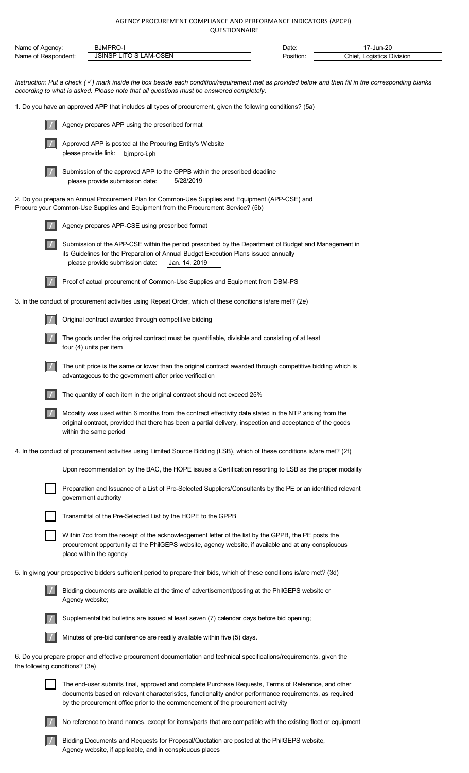## AGENCY PROCUREMENT COMPLIANCE AND PERFORMANCE INDICATORS (APCPI) QUESTIONNAIRE

| Name of Agency:<br>Name of Respondent: |                 | <b>BJMPRO-I</b><br>JSINSP LITO S LAM-OSEN                                                                                                                                                                                                                                                        | Date:<br>Position: | 17-Jun-20<br>Chief, Logistics Division |
|----------------------------------------|-----------------|--------------------------------------------------------------------------------------------------------------------------------------------------------------------------------------------------------------------------------------------------------------------------------------------------|--------------------|----------------------------------------|
|                                        |                 |                                                                                                                                                                                                                                                                                                  |                    |                                        |
|                                        |                 | Instruction: Put a check (√) mark inside the box beside each condition/requirement met as provided below and then fill in the corresponding blanks<br>according to what is asked. Please note that all questions must be answered completely.                                                    |                    |                                        |
|                                        |                 | 1. Do you have an approved APP that includes all types of procurement, given the following conditions? (5a)                                                                                                                                                                                      |                    |                                        |
|                                        |                 | Agency prepares APP using the prescribed format                                                                                                                                                                                                                                                  |                    |                                        |
|                                        |                 | Approved APP is posted at the Procuring Entity's Website<br>please provide link:<br>bjmpro-i.ph                                                                                                                                                                                                  |                    |                                        |
|                                        |                 | Submission of the approved APP to the GPPB within the prescribed deadline<br>5/28/2019<br>please provide submission date:                                                                                                                                                                        |                    |                                        |
|                                        |                 | 2. Do you prepare an Annual Procurement Plan for Common-Use Supplies and Equipment (APP-CSE) and<br>Procure your Common-Use Supplies and Equipment from the Procurement Service? (5b)                                                                                                            |                    |                                        |
|                                        |                 | Agency prepares APP-CSE using prescribed format                                                                                                                                                                                                                                                  |                    |                                        |
|                                        |                 | Submission of the APP-CSE within the period prescribed by the Department of Budget and Management in<br>its Guidelines for the Preparation of Annual Budget Execution Plans issued annually<br>Jan. 14, 2019<br>please provide submission date:                                                  |                    |                                        |
|                                        |                 | Proof of actual procurement of Common-Use Supplies and Equipment from DBM-PS                                                                                                                                                                                                                     |                    |                                        |
|                                        |                 | 3. In the conduct of procurement activities using Repeat Order, which of these conditions is/are met? (2e)                                                                                                                                                                                       |                    |                                        |
|                                        |                 | Original contract awarded through competitive bidding                                                                                                                                                                                                                                            |                    |                                        |
|                                        |                 | The goods under the original contract must be quantifiable, divisible and consisting of at least<br>four (4) units per item                                                                                                                                                                      |                    |                                        |
|                                        |                 | The unit price is the same or lower than the original contract awarded through competitive bidding which is<br>advantageous to the government after price verification                                                                                                                           |                    |                                        |
|                                        |                 | The quantity of each item in the original contract should not exceed 25%                                                                                                                                                                                                                         |                    |                                        |
|                                        |                 | Modality was used within 6 months from the contract effectivity date stated in the NTP arising from the<br>original contract, provided that there has been a partial delivery, inspection and acceptance of the goods<br>within the same period                                                  |                    |                                        |
|                                        |                 | 4. In the conduct of procurement activities using Limited Source Bidding (LSB), which of these conditions is/are met? (2f)                                                                                                                                                                       |                    |                                        |
|                                        |                 | Upon recommendation by the BAC, the HOPE issues a Certification resorting to LSB as the proper modality                                                                                                                                                                                          |                    |                                        |
|                                        |                 | Preparation and Issuance of a List of Pre-Selected Suppliers/Consultants by the PE or an identified relevant<br>government authority                                                                                                                                                             |                    |                                        |
|                                        |                 | Transmittal of the Pre-Selected List by the HOPE to the GPPB                                                                                                                                                                                                                                     |                    |                                        |
|                                        |                 | Within 7cd from the receipt of the acknowledgement letter of the list by the GPPB, the PE posts the<br>procurement opportunity at the PhilGEPS website, agency website, if available and at any conspicuous<br>place within the agency                                                           |                    |                                        |
|                                        |                 | 5. In giving your prospective bidders sufficient period to prepare their bids, which of these conditions is/are met? (3d)                                                                                                                                                                        |                    |                                        |
|                                        | Agency website; | Bidding documents are available at the time of advertisement/posting at the PhilGEPS website or                                                                                                                                                                                                  |                    |                                        |
|                                        |                 | Supplemental bid bulletins are issued at least seven (7) calendar days before bid opening;                                                                                                                                                                                                       |                    |                                        |
|                                        |                 | Minutes of pre-bid conference are readily available within five (5) days.                                                                                                                                                                                                                        |                    |                                        |
| the following conditions? (3e)         |                 | 6. Do you prepare proper and effective procurement documentation and technical specifications/requirements, given the                                                                                                                                                                            |                    |                                        |
|                                        |                 | The end-user submits final, approved and complete Purchase Requests, Terms of Reference, and other<br>documents based on relevant characteristics, functionality and/or performance requirements, as required<br>by the procurement office prior to the commencement of the procurement activity |                    |                                        |
|                                        |                 | No reference to brand names, except for items/parts that are compatible with the existing fleet or equipment                                                                                                                                                                                     |                    |                                        |

**7** Bidding Documents and Requests for Proposal/Quotation are posted at the PhilGEPS website, Agency website, if applicable, and in conspicuous places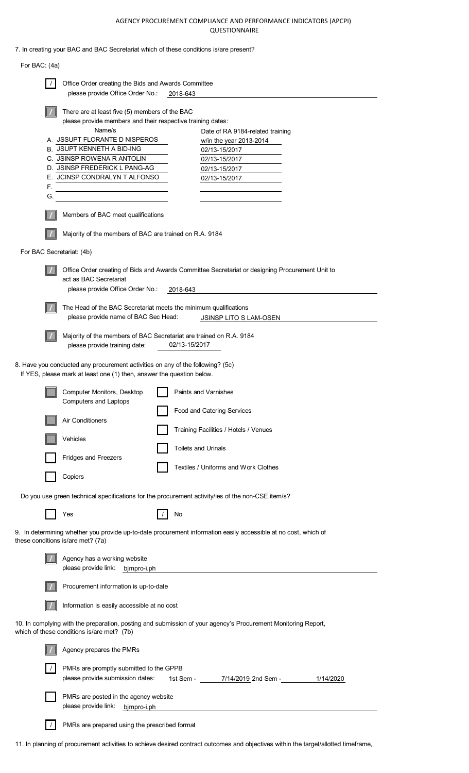# AGENCY PROCUREMENT COMPLIANCE AND PERFORMANCE INDICATORS (APCPI) QUESTIONNAIRE

7. In creating your BAC and BAC Secretariat which of these conditions is/are present?

For BAC: (4a)

| ги DAU. (4d)              |                                                                                |                                                                                                                 |
|---------------------------|--------------------------------------------------------------------------------|-----------------------------------------------------------------------------------------------------------------|
|                           |                                                                                |                                                                                                                 |
|                           | Office Order creating the Bids and Awards Committee                            |                                                                                                                 |
|                           | please provide Office Order No.:                                               | 2018-643                                                                                                        |
|                           |                                                                                |                                                                                                                 |
|                           | There are at least five (5) members of the BAC                                 |                                                                                                                 |
|                           | please provide members and their respective training dates:                    |                                                                                                                 |
|                           | Name/s                                                                         | Date of RA 9184-related training                                                                                |
|                           | A. JSSUPT FLORANTE D NISPEROS                                                  | w/in the year 2013-2014                                                                                         |
|                           | B. JSUPT KENNETH A BID-ING                                                     | 02/13-15/2017                                                                                                   |
|                           | C. JSINSP ROWENA R ANTOLIN                                                     |                                                                                                                 |
|                           |                                                                                | 02/13-15/2017                                                                                                   |
|                           | D. JSINSP FREDERICK L PANG-AG                                                  | 02/13-15/2017                                                                                                   |
|                           | E. JCINSP CONDRALYN T ALFONSO                                                  | 02/13-15/2017                                                                                                   |
| F.                        |                                                                                |                                                                                                                 |
| G.                        |                                                                                |                                                                                                                 |
|                           |                                                                                |                                                                                                                 |
|                           | Members of BAC meet qualifications                                             |                                                                                                                 |
|                           | Majority of the members of BAC are trained on R.A. 9184                        |                                                                                                                 |
| For BAC Secretariat: (4b) |                                                                                |                                                                                                                 |
|                           |                                                                                |                                                                                                                 |
|                           |                                                                                | Office Order creating of Bids and Awards Committee Secretariat or designing Procurement Unit to                 |
|                           | act as BAC Secretariat                                                         |                                                                                                                 |
|                           | please provide Office Order No.:                                               | 2018-643                                                                                                        |
|                           |                                                                                |                                                                                                                 |
|                           | The Head of the BAC Secretariat meets the minimum qualifications               |                                                                                                                 |
|                           | please provide name of BAC Sec Head:                                           | <b>JSINSP LITO S LAM-OSEN</b>                                                                                   |
|                           |                                                                                |                                                                                                                 |
|                           |                                                                                |                                                                                                                 |
|                           | Majority of the members of BAC Secretariat are trained on R.A. 9184            |                                                                                                                 |
|                           | please provide training date:                                                  | 02/13-15/2017                                                                                                   |
|                           |                                                                                |                                                                                                                 |
|                           | 8. Have you conducted any procurement activities on any of the following? (5c) |                                                                                                                 |
|                           | If YES, please mark at least one (1) then, answer the question below.          |                                                                                                                 |
|                           |                                                                                |                                                                                                                 |
|                           | Computer Monitors, Desktop                                                     | Paints and Varnishes                                                                                            |
|                           | <b>Computers and Laptops</b>                                                   |                                                                                                                 |
|                           |                                                                                | Food and Catering Services                                                                                      |
|                           | Air Conditioners                                                               |                                                                                                                 |
|                           |                                                                                | Training Facilities / Hotels / Venues                                                                           |
|                           |                                                                                |                                                                                                                 |
|                           | Vehicles                                                                       |                                                                                                                 |
|                           |                                                                                | <b>Toilets and Urinals</b>                                                                                      |
|                           | <b>Fridges and Freezers</b>                                                    |                                                                                                                 |
|                           |                                                                                | Textiles / Uniforms and Work Clothes                                                                            |
|                           | Copiers                                                                        |                                                                                                                 |
|                           |                                                                                |                                                                                                                 |
|                           |                                                                                | Do you use green technical specifications for the procurement activity/ies of the non-CSE item/s?               |
|                           |                                                                                |                                                                                                                 |
|                           | Yes                                                                            | No                                                                                                              |
|                           |                                                                                |                                                                                                                 |
|                           |                                                                                |                                                                                                                 |
|                           | these conditions is/are met? (7a)                                              | 9. In determining whether you provide up-to-date procurement information easily accessible at no cost, which of |
|                           |                                                                                |                                                                                                                 |
|                           |                                                                                |                                                                                                                 |
|                           | Agency has a working website                                                   |                                                                                                                 |
|                           | please provide link:<br>bjmpro-i.ph                                            |                                                                                                                 |
|                           |                                                                                |                                                                                                                 |
|                           | Procurement information is up-to-date                                          |                                                                                                                 |
|                           |                                                                                |                                                                                                                 |
|                           | Information is easily accessible at no cost                                    |                                                                                                                 |
|                           |                                                                                |                                                                                                                 |
|                           |                                                                                | 10. In complying with the preparation, posting and submission of your agency's Procurement Monitoring Report,   |
|                           | which of these conditions is/are met? (7b)                                     |                                                                                                                 |
|                           |                                                                                |                                                                                                                 |
|                           | Agency prepares the PMRs                                                       |                                                                                                                 |
|                           |                                                                                |                                                                                                                 |
|                           |                                                                                |                                                                                                                 |
|                           | PMRs are promptly submitted to the GPPB                                        |                                                                                                                 |
|                           | please provide submission dates:                                               | 1st Sem - 7/14/2019 2nd Sem -<br>1/14/2020                                                                      |
|                           |                                                                                |                                                                                                                 |
|                           | PMRs are posted in the agency website                                          |                                                                                                                 |
|                           | please provide link:<br>bjmpro-i.ph                                            |                                                                                                                 |
|                           |                                                                                |                                                                                                                 |
|                           |                                                                                |                                                                                                                 |

/ PMRs are prepared using the prescribed format

11. In planning of procurement activities to achieve desired contract outcomes and objectives within the target/allotted timeframe,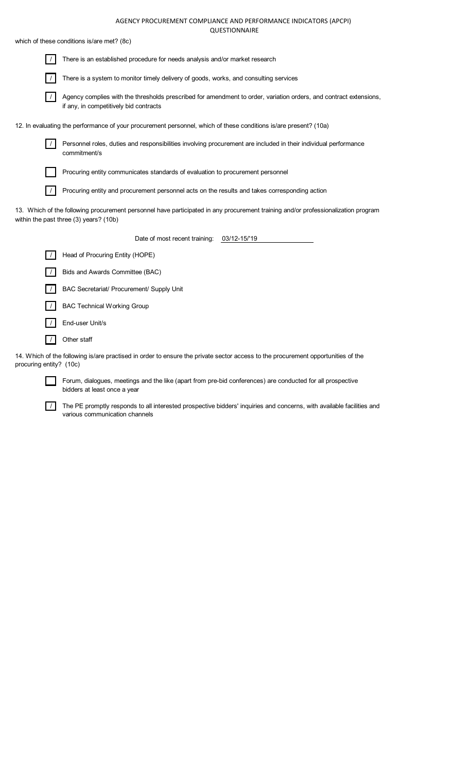| AGENCY PROCUREMENT COMPLIANCE AND PERFORMANCE INDICATORS (APCPI) |           |  |  |
|------------------------------------------------------------------|-----------|--|--|
|                                                                  | $\bigcap$ |  |  |

| QUESTIONNAIRE                                                                                                                                                               |
|-----------------------------------------------------------------------------------------------------------------------------------------------------------------------------|
| which of these conditions is/are met? (8c)                                                                                                                                  |
| There is an established procedure for needs analysis and/or market research                                                                                                 |
| There is a system to monitor timely delivery of goods, works, and consulting services                                                                                       |
| Agency complies with the thresholds prescribed for amendment to order, variation orders, and contract extensions,<br>if any, in competitively bid contracts                 |
| 12. In evaluating the performance of your procurement personnel, which of these conditions is/are present? (10a)                                                            |
| Personnel roles, duties and responsibilities involving procurement are included in their individual performance<br>commitment/s                                             |
| Procuring entity communicates standards of evaluation to procurement personnel                                                                                              |
| Procuring entity and procurement personnel acts on the results and takes corresponding action                                                                               |
| 13. Which of the following procurement personnel have participated in any procurement training and/or professionalization program<br>within the past three (3) years? (10b) |
| Date of most recent training:<br>03/12-15/'19                                                                                                                               |
| Head of Procuring Entity (HOPE)                                                                                                                                             |
| Bids and Awards Committee (BAC)                                                                                                                                             |
| BAC Secretariat/ Procurement/ Supply Unit                                                                                                                                   |
| <b>BAC Technical Working Group</b>                                                                                                                                          |
| End-user Unit/s                                                                                                                                                             |

/ Other staff

14. Which of the following is/are practised in order to ensure the private sector access to the procurement opportunities of the procuring entity? (10c)

Forum, dialogues, meetings and the like (apart from pre-bid conferences) are conducted for all prospective bidders at least once a year

/ The PE promptly responds to all interested prospective bidders' inquiries and concerns, with available facilities and various communication channels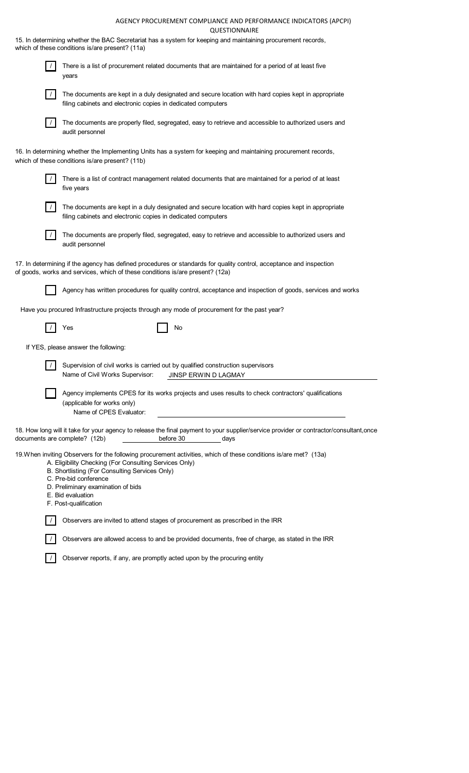| AGENCY PROCUREMENT COMPLIANCE AND PERFORMANCE INDICATORS (APCPI) |
|------------------------------------------------------------------|
| QUESTIONNAIRE                                                    |

| 15. In determining whether the BAC Secretariat has a system for keeping and maintaining procurement records,<br>which of these conditions is/are present? (11a)                                                                                                                                                                            |
|--------------------------------------------------------------------------------------------------------------------------------------------------------------------------------------------------------------------------------------------------------------------------------------------------------------------------------------------|
| There is a list of procurement related documents that are maintained for a period of at least five<br>years                                                                                                                                                                                                                                |
| The documents are kept in a duly designated and secure location with hard copies kept in appropriate<br>filing cabinets and electronic copies in dedicated computers                                                                                                                                                                       |
| The documents are properly filed, segregated, easy to retrieve and accessible to authorized users and<br>audit personnel                                                                                                                                                                                                                   |
| 16. In determining whether the Implementing Units has a system for keeping and maintaining procurement records,<br>which of these conditions is/are present? (11b)                                                                                                                                                                         |
| There is a list of contract management related documents that are maintained for a period of at least<br>five years                                                                                                                                                                                                                        |
| The documents are kept in a duly designated and secure location with hard copies kept in appropriate<br>filing cabinets and electronic copies in dedicated computers                                                                                                                                                                       |
| The documents are properly filed, segregated, easy to retrieve and accessible to authorized users and<br>audit personnel                                                                                                                                                                                                                   |
| 17. In determining if the agency has defined procedures or standards for quality control, acceptance and inspection<br>of goods, works and services, which of these conditions is/are present? (12a)                                                                                                                                       |
| Agency has written procedures for quality control, acceptance and inspection of goods, services and works                                                                                                                                                                                                                                  |
| Have you procured Infrastructure projects through any mode of procurement for the past year?                                                                                                                                                                                                                                               |
| No<br>Yes                                                                                                                                                                                                                                                                                                                                  |
| If YES, please answer the following:                                                                                                                                                                                                                                                                                                       |
| Supervision of civil works is carried out by qualified construction supervisors<br>Name of Civil Works Supervisor:<br>JINSP ERWIN D LAGMAY                                                                                                                                                                                                 |
| Agency implements CPES for its works projects and uses results to check contractors' qualifications<br>(applicable for works only)<br>Name of CPES Evaluator:                                                                                                                                                                              |
|                                                                                                                                                                                                                                                                                                                                            |
| 18. How long will it take for your agency to release the final payment to your supplier/service provider or contractor/consultant,once<br>before 30<br>documents are complete? (12b)<br>days                                                                                                                                               |
| 19. When inviting Observers for the following procurement activities, which of these conditions is/are met? (13a)<br>A. Eligibility Checking (For Consulting Services Only)<br>B. Shortlisting (For Consulting Services Only)<br>C. Pre-bid conference<br>D. Preliminary examination of bids<br>E. Bid evaluation<br>F. Post-qualification |
| Observers are invited to attend stages of procurement as prescribed in the IRR                                                                                                                                                                                                                                                             |
| Observers are allowed access to and be provided documents, free of charge, as stated in the IRR                                                                                                                                                                                                                                            |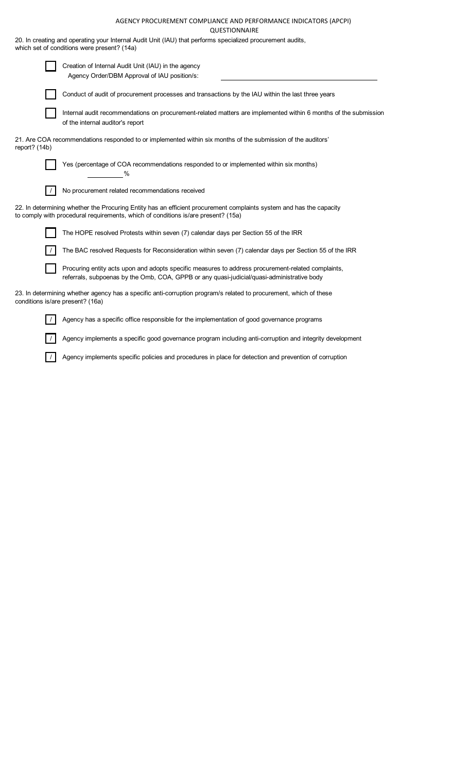### AGENCY PROCUREMENT COMPLIANCE AND PERFORMANCE INDICATORS (APCPI) QUESTIONNAIRE

20. In creating and operating your Internal Audit Unit (IAU) that performs specialized procurement audits, which set of conditions were present? (14a)

|                                  | Creation of Internal Audit Unit (IAU) in the agency<br>Agency Order/DBM Approval of IAU position/s:                                                                                                      |
|----------------------------------|----------------------------------------------------------------------------------------------------------------------------------------------------------------------------------------------------------|
|                                  | Conduct of audit of procurement processes and transactions by the IAU within the last three years                                                                                                        |
|                                  | Internal audit recommendations on procurement-related matters are implemented within 6 months of the submission<br>of the internal auditor's report                                                      |
| report? (14b)                    | 21. Are COA recommendations responded to or implemented within six months of the submission of the auditors'                                                                                             |
|                                  | Yes (percentage of COA recommendations responded to or implemented within six months)<br>%                                                                                                               |
|                                  | No procurement related recommendations received                                                                                                                                                          |
|                                  | 22. In determining whether the Procuring Entity has an efficient procurement complaints system and has the capacity<br>to comply with procedural requirements, which of conditions is/are present? (15a) |
|                                  | The HOPE resolved Protests within seven (7) calendar days per Section 55 of the IRR                                                                                                                      |
|                                  | The BAC resolved Requests for Reconsideration within seven (7) calendar days per Section 55 of the IRR                                                                                                   |
|                                  | Procuring entity acts upon and adopts specific measures to address procurement-related complaints,<br>referrals, subpoenas by the Omb, COA, GPPB or any quasi-judicial/quasi-administrative body         |
| conditions is/are present? (16a) | 23. In determining whether agency has a specific anti-corruption program/s related to procurement, which of these                                                                                        |
|                                  | Agency has a specific office responsible for the implementation of good governance programs                                                                                                              |
|                                  | Agency implements a specific good governance program including anti-corruption and integrity development                                                                                                 |

/ Agency implements specific policies and procedures in place for detection and prevention of corruption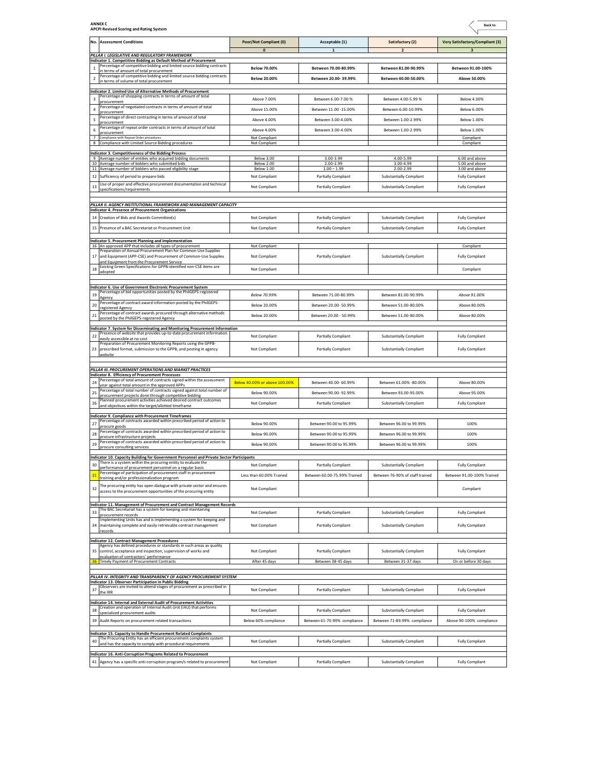|                         | <b>ANNEX C</b><br><b>APCPI Revised Scoring and Rating System</b>                                                                                                                                     |                               |                              |                                 | <b>Back to</b>                   |
|-------------------------|------------------------------------------------------------------------------------------------------------------------------------------------------------------------------------------------------|-------------------------------|------------------------------|---------------------------------|----------------------------------|
|                         | <b>No. Assessment Conditions</b>                                                                                                                                                                     | Poor/Not Compliant (0)        | Acceptable (1)               | Satisfactory (2)                | Very Satisfactory/Compliant (3)  |
|                         |                                                                                                                                                                                                      | $\Omega$                      |                              |                                 |                                  |
|                         | PILLAR I. LEGISLATIVE AND REGULATORY FRAMEWORK<br>Indicator 1. Competitive Bidding as Default Method of Procurement                                                                                  |                               |                              |                                 |                                  |
| $\mathbf{1}$            | Percentage of competitive bidding and limited source bidding contracts<br>in terms of amount of total procurement<br>Percentage of competitive bidding and limited source bidding contracts          | <b>Below 70.00%</b>           | Between 70.00-80.99%         | Between 81.00-90.99%            | Between 91.00-100%               |
| $\mathbf 2$             | in terms of volume of total procurement                                                                                                                                                              | <b>Below 20.00%</b>           | Between 20.00-39.99%         | Between 40.00-50.00%            | Above 50.00%                     |
|                         | Indicator 2. Limited Use of Alternative Methods of Procurement                                                                                                                                       |                               |                              |                                 |                                  |
| $\overline{\mathbf{3}}$ | Percentage of shopping contracts in terms of amount of total<br>procurement                                                                                                                          | Above 7.00%                   | Between 6.00-7.00 %          | Between 4.00-5.99 %             | <b>Below 4.00%</b>               |
| $\overline{4}$          | Percentage of negotiated contracts in terms of amount of total<br>procurement<br>Percentage of direct contracting in terms of amount of total                                                        | Above 15,00%                  | Between 11.00 - 15.00%       | Between 6.00-10.99%             | Below 6.00%                      |
| 5                       | procurement<br>Percentage of repeat order contracts in terms of amount of total                                                                                                                      | Above 4.00%                   | Between 3.00-4.00%           | Between 1.00-2.99%              | Below 1.00%                      |
| 6<br>$\overline{7}$     | procurement<br>Compliance with Repeat Order procedures                                                                                                                                               | Above 4.00%<br>Not Compliant  | Between 3.00-4.00%           | Between 1.00-2.99%              | <b>Below 1.00%</b><br>Compliant  |
|                         | 8 Compliance with Limited Source Bidding procedures                                                                                                                                                  | Not Compliant                 |                              |                                 | Compliant                        |
| 9                       | <b>Indicator 3. Competitiveness of the Bidding Process</b><br>Average number of entities who acquired bidding documents                                                                              | Below 3.00                    | 3.00-3.99                    | 4.00-5.99                       | 6.00 and above                   |
|                         | 10 Average number of bidders who submitted bids<br>11 Average number of bidders who passed eligibility stage                                                                                         | Below 2.00<br>Below 1.00      | 2.00-2.99<br>$1.00 - 1.99$   | $3.00 - 4.99$<br>2.00-2.99      | 5.00 and above<br>3.00 and above |
|                         | 12 Sufficiency of period to prepare bids                                                                                                                                                             | Not Compliant                 | Partially Compliant          | <b>Substantially Compliant</b>  | <b>Fully Compliant</b>           |
| 13                      | Use of proper and effective procurement documentation and technical<br>specifications/requirements                                                                                                   | Not Compliant                 | Partially Compliant          | <b>Substantially Compliant</b>  | <b>Fully Compliant</b>           |
|                         |                                                                                                                                                                                                      |                               |                              |                                 |                                  |
|                         | PILLAR II. AGENCY INSTITUTIONAL FRAMEWORK AND MANAGEMENT CAPACITY<br><b>Indicator 4. Presence of Procurement Organizations</b>                                                                       |                               |                              |                                 |                                  |
|                         | 14 Creation of Bids and Awards Committee(s)                                                                                                                                                          | Not Compliant                 | Partially Compliant          | <b>Substantially Compliant</b>  | <b>Fully Compliant</b>           |
|                         | 15 Presence of a BAC Secretariat or Procurement Unit                                                                                                                                                 | Not Compliant                 | Partially Compliant          | <b>Substantially Compliant</b>  | <b>Fully Compliant</b>           |
|                         | <b>Indicator 5. Procurement Planning and Implementation</b>                                                                                                                                          |                               |                              |                                 |                                  |
|                         | 16 An approved APP that includes all types of procurement<br>Preparation of Annual Procurement Plan for Common-Use Supplies                                                                          | Not Compliant                 |                              |                                 | Compliant                        |
| 17                      | and Equipment (APP-CSE) and Procurement of Common-Use Supplies<br>and Equipment from the Procurement Service                                                                                         | Not Compliant                 | <b>Partially Compliant</b>   | <b>Substantially Compliant</b>  | <b>Fully Compliant</b>           |
| 18                      | Existing Green Specifications for GPPB-identified non-CSE items are<br>adopted                                                                                                                       | Not Compliant                 |                              |                                 | Compliant                        |
|                         |                                                                                                                                                                                                      |                               |                              |                                 |                                  |
| 19                      | Indicator 6. Use of Government Electronic Procurement System<br>Percentage of bid opportunities posted by the PhilGEPS-registered                                                                    | Below 70.99%                  | Between 71.00-80.99%         | Between 81.00-90.99%            | Above 91.00%                     |
| 20                      | Agency<br>Percentage of contract award information posted by the PhilGEPS-                                                                                                                           | Below 20.00%                  | Between 20.00-50.99%         | Between 51.00-80.00%            | Above 80.00%                     |
| 21                      | registered Agency<br>Percentage of contract awards procured through alternative methods                                                                                                              | Below 20,00%                  | Between 20.00 - 50.99%       | Between 51.00-80.00%            | Above 80,00%                     |
|                         | posted by the PhilGEPS-registered Agency                                                                                                                                                             |                               |                              |                                 |                                  |
| 22                      | Indicator 7. System for Disseminating and Monitoring Procurement Information<br>Presence of website that provides up-to-date procurement information                                                 | Not Compliant                 | Partially Compliant          | <b>Substantially Compliant</b>  | <b>Fully Compliant</b>           |
|                         | easily accessible at no cost<br>Preparation of Procurement Monitoring Reports using the GPPB-                                                                                                        |                               |                              |                                 |                                  |
| 23                      | prescribed format, submission to the GPPB, and posting in agency<br>website                                                                                                                          | Not Compliant                 | Partially Compliant          | <b>Substantially Compliant</b>  | <b>Fully Compliant</b>           |
|                         |                                                                                                                                                                                                      |                               |                              |                                 |                                  |
|                         | PILLAR III. PROCUREMENT OPERATIONS AND MARKET PRACTICES<br>Indicator 8. Efficiency of Procurement Processes                                                                                          |                               |                              |                                 |                                  |
| 24                      | Percentage of total amount of contracts signed within the assessment<br>year against total amount in the approved APPs                                                                               | Below 40.00% or above 100.00% | Between 40.00- 60.99%        | Between 61.00% -80.00%          | Above 80.00%                     |
| 25                      | Percentage of total number of contracts signed against total number of<br>procurement projects done through competitive bidding<br>Planned procurement activities achieved desired contract outcomes | Below 90.00%                  | Between 90.00-92.99%         | Between 93.00-95.00%            | Above 95.00%                     |
| 26                      | and objectives within the target/allotted timeframe                                                                                                                                                  | Not Compliant                 | Partially Compliant          | <b>Substantially Compliant</b>  | <b>Fully Compliant</b>           |
|                         | Indicator 9. Compliance with Procurement Timeframes<br>Percentage of contracts awarded within prescribed period of action to                                                                         |                               |                              |                                 |                                  |
| 27                      | procure goods<br>Percentage of contracts awarded within prescribed period of action to                                                                                                               | Below 90.00%                  | Between 90.00 to 95.99%      | Between 96.00 to 99.99%         | 100%                             |
| 28                      | procure infrastructure projects<br>Percentage of contracts awarded within prescribed period of action to                                                                                             | Below 90.00%                  | Between 90.00 to 95.99%      | Between 96.00 to 99.99%         | 100%                             |
| 29                      | procure consulting services                                                                                                                                                                          | Below 90.00%                  | Between 90.00 to 95.99%      | Between 96.00 to 99.99%         | 100%                             |
|                         | Indicator 10. Capacity Building for Government Personnel and Priva<br>There is a system within the procuring entity to evaluate the                                                                  |                               |                              |                                 |                                  |
| 30                      | performance of procurement personnel on a regular basis<br>Percentage of participation of procurement staff in procurement                                                                           | Not Compliant                 | <b>Partially Compliant</b>   | <b>Substantially Compliant</b>  | <b>Fully Compliant</b>           |
| 31                      | training and/or professionalization progran                                                                                                                                                          | Less than 60.00% Trained      | Between 60.00-75.99% Trained | Between 76-90% of staff trained | Between 91.00-100% Trained       |
| 32                      | The procuring entity has open dialogue with private sector and ensures<br>access to the procurement opportunities of the procuring entity                                                            | Not Compliant                 |                              |                                 | Compliant                        |
|                         | Indicator 11. Management of Procurement and Contract Management Records                                                                                                                              |                               |                              |                                 |                                  |
| 33                      | The BAC Secretariat has a system for keeping and maintaining<br>procurement records                                                                                                                  | Not Compliant                 | <b>Partially Compliant</b>   | <b>Substantially Compliant</b>  | <b>Fully Compliant</b>           |
| 34                      | Implementing Units has and is implementing a system for keeping and<br>maintaining complete and easily retrievable contract management                                                               | Not Compliant                 | Partially Compliant          | <b>Substantially Compliant</b>  | <b>Fully Compliant</b>           |
|                         | ecord                                                                                                                                                                                                |                               |                              |                                 |                                  |
|                         | <b>Indicator 12. Contract Management Procedures</b><br>Agency has defined procedures or standards in such areas as quality                                                                           |                               |                              |                                 |                                  |
| 35                      | control, acceptance and inspection, supervision of works and<br>evaluation of contractors' performance                                                                                               | Not Compliant                 | <b>Partially Compliant</b>   | <b>Substantially Compliant</b>  | <b>Fully Compliant</b>           |
|                         | Timely Payment of Procurement Contracts                                                                                                                                                              | After 45 days                 | Between 38-45 days           | Between 31-37 days              | On or before 30 days             |
|                         | PILLAR IV. INTEGRITY AND TRANSPARENCY OF AGENCY PROCUREMENT SYSTEM                                                                                                                                   |                               |                              |                                 |                                  |
|                         | Indicator 13. Observer Participation in Public Bidding<br>Observers are invited to attend stages of procurement as prescribed in                                                                     |                               |                              |                                 |                                  |
| 37                      | the IRR                                                                                                                                                                                              | Not Compliant                 | Partially Compliant          | <b>Substantially Compliant</b>  | <b>Fully Compliant</b>           |
|                         | Indicator 14. Internal and External Audit of Procurement Activities<br>Creation and operation of Internal Audit Unit (IAU) that performs                                                             |                               |                              |                                 |                                  |
| 38                      | specialized procurement audits                                                                                                                                                                       | Not Compliant                 | <b>Partially Compliant</b>   | <b>Substantially Compliant</b>  | <b>Fully Compliant</b>           |
| 39                      | Audit Reports on procurement related transactions                                                                                                                                                    | Below 60% compliance          | Between 61-70.99% compliance | Between 71-89.99% compliance    | Above 90-100% compliance         |
| 40                      | <b>Indicator 15. Capacity to Handle Procurement Related Complaints</b><br>The Procuring Entity has an efficient procurement complaints system                                                        |                               |                              |                                 |                                  |
|                         | and has the capacity to comply with procedural requirements                                                                                                                                          | Not Compliant                 | <b>Partially Compliant</b>   | <b>Substantially Compliant</b>  | <b>Fully Compliant</b>           |
| 41                      | Indicator 16. Anti-Corruption Programs Related to Procurement<br>Agency has a specific anti-corruption program/s related to procurement                                                              | Not Compliant                 | <b>Partially Compliant</b>   | <b>Substantially Compliant</b>  | <b>Fully Compliant</b>           |
|                         |                                                                                                                                                                                                      |                               |                              |                                 |                                  |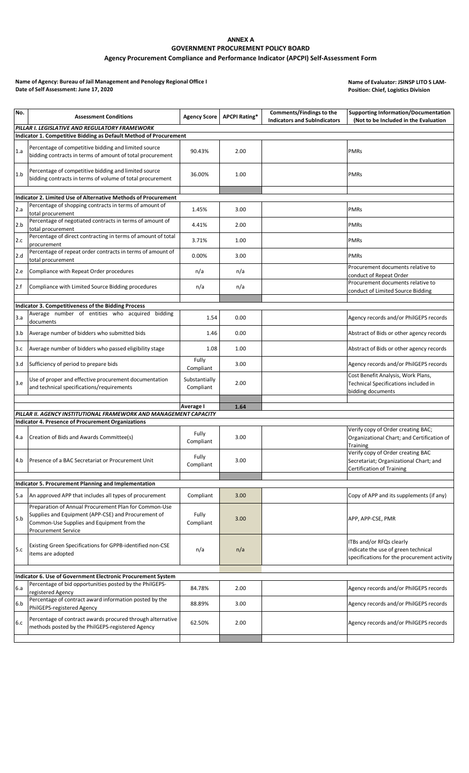## **ANNEX A GOVERNMENT PROCUREMENT POLICY BOARD Agency Procurement Compliance and Performance Indicator (APCPI) Self-Assessment Form**

Name of Agency: Bureau of Jail Management and Penology Regional Office I<br>
Date of Self Assessment: June 17, 2020<br> **Position: Chief, Logistics Division Date of Self Assessment: June 17, 2020** 

| No. | <b>Assessment Conditions</b>                                                                                                                                                             | <b>Agency Score</b>        | <b>APCPI Rating*</b> | Comments/Findings to the<br><b>Indicators and SubIndicators</b> | <b>Supporting Information/Documentation</b><br>(Not to be Included in the Evaluation                            |  |  |  |
|-----|------------------------------------------------------------------------------------------------------------------------------------------------------------------------------------------|----------------------------|----------------------|-----------------------------------------------------------------|-----------------------------------------------------------------------------------------------------------------|--|--|--|
|     | PILLAR I. LEGISLATIVE AND REGULATORY FRAMEWORK                                                                                                                                           |                            |                      |                                                                 |                                                                                                                 |  |  |  |
|     | Indicator 1. Competitive Bidding as Default Method of Procurement                                                                                                                        |                            |                      |                                                                 |                                                                                                                 |  |  |  |
| 1.a | Percentage of competitive bidding and limited source<br>bidding contracts in terms of amount of total procurement                                                                        | 90.43%                     | 2.00                 |                                                                 | <b>PMRs</b>                                                                                                     |  |  |  |
| 1.b | Percentage of competitive bidding and limited source<br>bidding contracts in terms of volume of total procurement                                                                        | 36.00%                     | 1.00                 |                                                                 | <b>PMRs</b>                                                                                                     |  |  |  |
|     | Indicator 2. Limited Use of Alternative Methods of Procurement                                                                                                                           |                            |                      |                                                                 |                                                                                                                 |  |  |  |
|     | Percentage of shopping contracts in terms of amount of                                                                                                                                   |                            |                      |                                                                 |                                                                                                                 |  |  |  |
| 2.a | total procurement<br>Percentage of negotiated contracts in terms of amount of                                                                                                            | 1.45%                      | 3.00                 |                                                                 | <b>PMRs</b>                                                                                                     |  |  |  |
| 2.b | total procurement                                                                                                                                                                        | 4.41%                      | 2.00                 |                                                                 | <b>PMRs</b>                                                                                                     |  |  |  |
| 2.c | Percentage of direct contracting in terms of amount of total<br>procurement                                                                                                              | 3.71%                      | 1.00                 |                                                                 | <b>PMRs</b>                                                                                                     |  |  |  |
| 2.d | Percentage of repeat order contracts in terms of amount of<br>total procurement                                                                                                          | 0.00%                      | 3.00                 |                                                                 | <b>PMRs</b>                                                                                                     |  |  |  |
| 2.e | Compliance with Repeat Order procedures                                                                                                                                                  | n/a                        | n/a                  |                                                                 | Procurement documents relative to<br>conduct of Repeat Order                                                    |  |  |  |
| 2.f | Compliance with Limited Source Bidding procedures                                                                                                                                        | n/a                        | n/a                  |                                                                 | Procurement documents relative to<br>conduct of Limited Source Bidding                                          |  |  |  |
|     |                                                                                                                                                                                          |                            |                      |                                                                 |                                                                                                                 |  |  |  |
|     | Indicator 3. Competitiveness of the Bidding Process                                                                                                                                      |                            |                      |                                                                 |                                                                                                                 |  |  |  |
| 3.a | Average number of entities who acquired bidding<br>documents                                                                                                                             | 1.54                       | 0.00                 |                                                                 | Agency records and/or PhilGEPS records                                                                          |  |  |  |
| 3.b | Average number of bidders who submitted bids                                                                                                                                             | 1.46                       | 0.00                 |                                                                 | Abstract of Bids or other agency records                                                                        |  |  |  |
| 3.c | Average number of bidders who passed eligibility stage                                                                                                                                   | 1.08                       | 1.00                 |                                                                 | Abstract of Bids or other agency records                                                                        |  |  |  |
| 3.d | Sufficiency of period to prepare bids                                                                                                                                                    | Fully<br>Compliant         | 3.00                 |                                                                 | Agency records and/or PhilGEPS records                                                                          |  |  |  |
| 3.e | Use of proper and effective procurement documentation<br>and technical specifications/requirements                                                                                       | Substantially<br>Compliant | 2.00                 |                                                                 | Cost Benefit Analysis, Work Plans,<br>Technical Specifications included in<br>bidding documents                 |  |  |  |
|     |                                                                                                                                                                                          |                            |                      |                                                                 |                                                                                                                 |  |  |  |
|     | PILLAR II. AGENCY INSTITUTIONAL FRAMEWORK AND MANAGEMENT CAPACITY                                                                                                                        | Average I                  | 1.64                 |                                                                 |                                                                                                                 |  |  |  |
|     | Indicator 4. Presence of Procurement Organizations                                                                                                                                       |                            |                      |                                                                 |                                                                                                                 |  |  |  |
| 4.a | Creation of Bids and Awards Committee(s)                                                                                                                                                 | Fully<br>Compliant         | 3.00                 |                                                                 | Verify copy of Order creating BAC;<br>Organizational Chart; and Certification of<br>Training                    |  |  |  |
| 4.b | Presence of a BAC Secretariat or Procurement Unit                                                                                                                                        | Fully<br>Compliant         | 3.00                 |                                                                 | Verify copy of Order creating BAC<br>Secretariat; Organizational Chart; and<br><b>Certification of Training</b> |  |  |  |
|     |                                                                                                                                                                                          |                            |                      |                                                                 |                                                                                                                 |  |  |  |
|     | Indicator 5. Procurement Planning and Implementation                                                                                                                                     |                            |                      |                                                                 |                                                                                                                 |  |  |  |
| 5.a | An approved APP that includes all types of procurement                                                                                                                                   | Compliant                  | 3.00                 |                                                                 | Copy of APP and its supplements (if any)                                                                        |  |  |  |
| 5.b | Preparation of Annual Procurement Plan for Common-Use<br>Supplies and Equipment (APP-CSE) and Procurement of<br>Common-Use Supplies and Equipment from the<br><b>Procurement Service</b> | Fully<br>Compliant         | 3.00                 |                                                                 | APP, APP-CSE, PMR                                                                                               |  |  |  |
| 5.c | Existing Green Specifications for GPPB-identified non-CSE<br>items are adopted                                                                                                           | n/a                        | n/a                  |                                                                 | ITBs and/or RFQs clearly<br>indicate the use of green technical<br>specifications for the procurement activity  |  |  |  |
|     |                                                                                                                                                                                          |                            |                      |                                                                 |                                                                                                                 |  |  |  |
| 6.a | Indicator 6. Use of Government Electronic Procurement System<br>Percentage of bid opportunities posted by the PhilGEPS-                                                                  | 84.78%                     | 2.00                 |                                                                 | Agency records and/or PhilGEPS records                                                                          |  |  |  |
| 6.b | registered Agency<br>Percentage of contract award information posted by the                                                                                                              | 88.89%                     | 3.00                 |                                                                 | Agency records and/or PhilGEPS records                                                                          |  |  |  |
|     | PhilGEPS-registered Agency<br>Percentage of contract awards procured through alternative                                                                                                 |                            |                      |                                                                 |                                                                                                                 |  |  |  |
| 6.c | methods posted by the PhilGEPS-registered Agency                                                                                                                                         | 62.50%                     | 2.00                 |                                                                 | Agency records and/or PhilGEPS records                                                                          |  |  |  |
|     |                                                                                                                                                                                          |                            |                      |                                                                 |                                                                                                                 |  |  |  |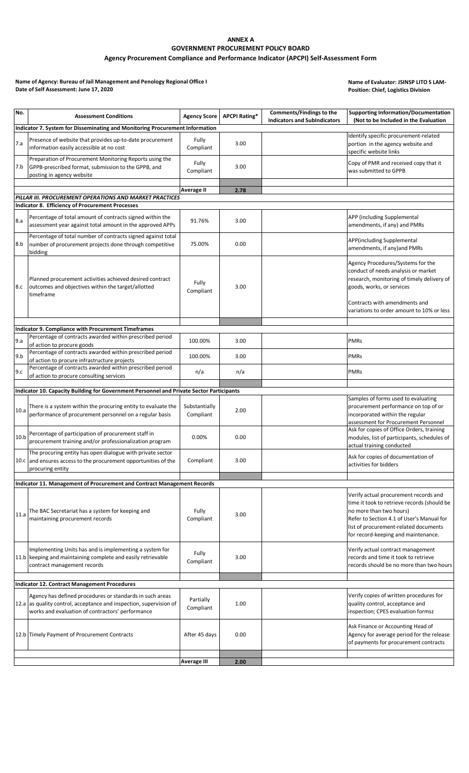## **ANNEX A GOVERNMENT PROCUREMENT POLICY BOARD Agency Procurement Compliance and Performance Indicator (APCPI) Self-Assessment Form**

Name of Agency: Bureau of Jail Management and Penology Regional Office I<br>
Date of Self Assessment: June 17, 2020<br> **Position: Chief, Logistics Division Date of Self Assessment: June 17, 2020** 

| No.  | <b>Assessment Conditions</b>                                                                                                                                                       | <b>Agency Score</b>        | <b>APCPI Rating*</b> | Comments/Findings to the<br><b>Indicators and SubIndicators</b> | <b>Supporting Information/Documentation</b><br>(Not to be Included in the Evaluation                                                                                                                                                         |
|------|------------------------------------------------------------------------------------------------------------------------------------------------------------------------------------|----------------------------|----------------------|-----------------------------------------------------------------|----------------------------------------------------------------------------------------------------------------------------------------------------------------------------------------------------------------------------------------------|
|      | Indicator 7. System for Disseminating and Monitoring Procurement Information                                                                                                       |                            |                      |                                                                 |                                                                                                                                                                                                                                              |
| 7.a  | Presence of website that provides up-to-date procurement<br>information easily accessible at no cost                                                                               | Fully<br>Compliant         | 3.00                 |                                                                 | Identify specific procurement-related<br>portion in the agency website and<br>specific website links                                                                                                                                         |
| 7.b  | Preparation of Procurement Monitoring Reports using the<br>GPPB-prescribed format, submission to the GPPB, and<br>posting in agency website                                        | Fully<br>Compliant         | 3.00                 |                                                                 | Copy of PMR and received copy that it<br>was submitted to GPPB                                                                                                                                                                               |
|      |                                                                                                                                                                                    |                            |                      |                                                                 |                                                                                                                                                                                                                                              |
|      | PILLAR III. PROCUREMENT OPERATIONS AND MARKET PRACTICES                                                                                                                            | Average II                 | 2.78                 |                                                                 |                                                                                                                                                                                                                                              |
|      | Indicator 8. Efficiency of Procurement Processes                                                                                                                                   |                            |                      |                                                                 |                                                                                                                                                                                                                                              |
| 8.a  | Percentage of total amount of contracts signed within the<br>assessment year against total amount in the approved APPs                                                             | 91.76%                     | 3.00                 |                                                                 | APP (including Supplemental<br>amendments, if any) and PMRs                                                                                                                                                                                  |
| 8.b  | Percentage of total number of contracts signed against total<br>number of procurement projects done through competitive<br>bidding                                                 | 75.00%                     | 0.00                 |                                                                 | APP(including Supplemental<br>amendments, if any) and PMRs                                                                                                                                                                                   |
| 8.c  | Planned procurement activities achieved desired contract<br>outcomes and objectives within the target/allotted<br>timeframe                                                        | Fully<br>Compliant         | 3.00                 |                                                                 | Agency Procedures/Systems for the<br>conduct of needs analysis or market<br>research, monitoring of timely delivery of<br>goods, works, or services<br>Contracts with amendments and                                                         |
|      |                                                                                                                                                                                    |                            |                      |                                                                 | variations to order amount to 10% or less                                                                                                                                                                                                    |
|      |                                                                                                                                                                                    |                            |                      |                                                                 |                                                                                                                                                                                                                                              |
|      | <b>Indicator 9. Compliance with Procurement Timeframes</b><br>Percentage of contracts awarded within prescribed period                                                             |                            |                      |                                                                 |                                                                                                                                                                                                                                              |
| 9.a  | of action to procure goods                                                                                                                                                         | 100.00%                    | 3.00                 |                                                                 | <b>PMRs</b>                                                                                                                                                                                                                                  |
| 9.b  | Percentage of contracts awarded within prescribed period<br>of action to procure infrastructure projects                                                                           | 100.00%                    | 3.00                 |                                                                 | <b>PMRs</b>                                                                                                                                                                                                                                  |
| 9.c  | Percentage of contracts awarded within prescribed period<br>of action to procure consulting services                                                                               | n/a                        | n/a                  |                                                                 | <b>PMRs</b>                                                                                                                                                                                                                                  |
|      | Indicator 10. Capacity Building for Government Personnel and Private Sector Participants                                                                                           |                            |                      |                                                                 |                                                                                                                                                                                                                                              |
|      |                                                                                                                                                                                    |                            |                      |                                                                 | Samples of forms used to evaluating                                                                                                                                                                                                          |
| 10.a | There is a system within the procuring entity to evaluate the<br>performance of procurement personnel on a regular basis                                                           | Substantially<br>Compliant | 2.00                 |                                                                 | procurement performance on top of or<br>incorporated within the regular<br>assessment for Procurement Personnel                                                                                                                              |
| 10.b | Percentage of participation of procurement staff in<br>procurement training and/or professionalization program                                                                     | 0.00%                      | 0.00                 |                                                                 | Ask for copies of Office Orders, training<br>modules, list of participants, schedules of<br>actual training conducted                                                                                                                        |
|      | The procuring entity has open dialogue with private sector<br>10.c and ensures access to the procurement opportunities of the<br>procuring entity                                  | Compliant                  | 3.00                 |                                                                 | Ask for copies of documentation of<br>activities for bidders                                                                                                                                                                                 |
|      | Indicator 11. Management of Procurement and Contract Management Records                                                                                                            |                            |                      |                                                                 |                                                                                                                                                                                                                                              |
|      |                                                                                                                                                                                    |                            |                      |                                                                 |                                                                                                                                                                                                                                              |
| 11.a | The BAC Secretariat has a system for keeping and<br>maintaining procurement records                                                                                                | Fully<br>Compliant         | 3.00                 |                                                                 | Verify actual procurement records and<br>time it took to retrieve records (should be<br>no more than two hours)<br>Refer to Section 4.1 of User's Manual for<br>list of procurement-related documents<br>for record-keeping and maintenance. |
|      | Implementing Units has and is implementing a system for<br>11.b keeping and maintaining complete and easily retrievable<br>contract management records                             | <b>Fully</b><br>Compliant  | 3.00                 |                                                                 | Verify actual contract management<br>records and time it took to retrieve<br>records should be no more than two hours                                                                                                                        |
|      | <b>Indicator 12. Contract Management Procedures</b>                                                                                                                                |                            |                      |                                                                 |                                                                                                                                                                                                                                              |
|      | Agency has defined procedures or standards in such areas<br>12.a as quality control, acceptance and inspection, supervision of<br>works and evaluation of contractors' performance | Partially<br>Compliant     | 1.00                 |                                                                 | Verify copies of written procedures for<br>quality control, acceptance and<br>inspection; CPES evaluation formsz                                                                                                                             |
|      | 12.b Timely Payment of Procurement Contracts                                                                                                                                       | After 45 days              | 0.00                 |                                                                 | Ask Finance or Accounting Head of<br>Agency for average period for the release<br>of payments for procurement contracts                                                                                                                      |
|      |                                                                                                                                                                                    |                            |                      |                                                                 |                                                                                                                                                                                                                                              |
|      |                                                                                                                                                                                    | <b>Average III</b>         | 2.00                 |                                                                 |                                                                                                                                                                                                                                              |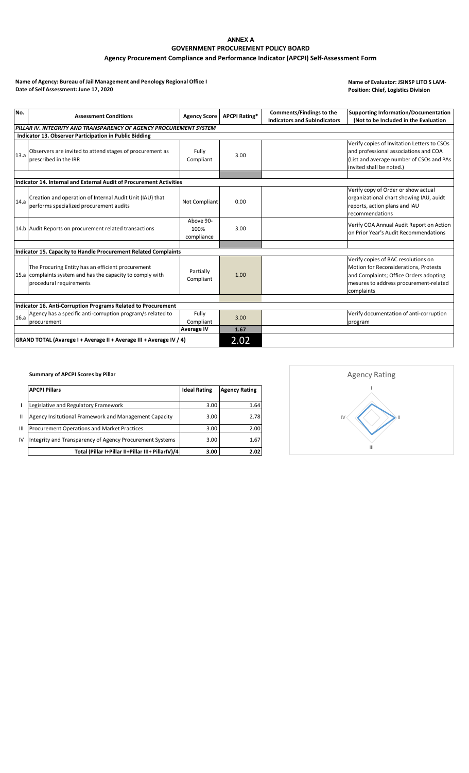## **ANNEX A GOVERNMENT PROCUREMENT POLICY BOARD Agency Procurement Compliance and Performance Indicator (APCPI) Self-Assessment Form**

Name of Agency: Bureau of Jail Management and Penology Regional Office I **Name of Agency** Support of Evaluator: JSINSP LITO S LAM-**Date of Self Assessment: June 17, 2020 Position: Chief, Logistics Division**

| No.  | <b>Assessment Conditions</b>                                                                                                               | <b>Agency Score</b>             | <b>APCPI Rating*</b> | <b>Comments/Findings to the</b><br><b>Indicators and SubIndicators</b> | <b>Supporting Information/Documentation</b><br>(Not to be Included in the Evaluation                                                                                           |
|------|--------------------------------------------------------------------------------------------------------------------------------------------|---------------------------------|----------------------|------------------------------------------------------------------------|--------------------------------------------------------------------------------------------------------------------------------------------------------------------------------|
|      | PILLAR IV. INTEGRITY AND TRANSPARENCY OF AGENCY PROCUREMENT SYSTEM                                                                         |                                 |                      |                                                                        |                                                                                                                                                                                |
|      | Indicator 13. Observer Participation in Public Bidding                                                                                     |                                 |                      |                                                                        |                                                                                                                                                                                |
| 13.a | Observers are invited to attend stages of procurement as<br>prescribed in the IRR                                                          | Fully<br>Compliant              | 3.00                 |                                                                        | Verify copies of Invitation Letters to CSOs<br>and professional associations and COA<br>(List and average number of CSOs and PAs<br>invited shall be noted.)                   |
|      |                                                                                                                                            |                                 |                      |                                                                        |                                                                                                                                                                                |
|      | Indicator 14. Internal and External Audit of Procurement Activities                                                                        |                                 |                      |                                                                        |                                                                                                                                                                                |
| 14.a | Creation and operation of Internal Audit Unit (IAU) that<br>performs specialized procurement audits                                        | Not Compliant                   | 0.00                 |                                                                        | Verify copy of Order or show actual<br>organizational chart showing IAU, auidt<br>reports, action plans and IAU<br>recommendations                                             |
|      | 14.b Audit Reports on procurement related transactions                                                                                     | Above 90-<br>100%<br>compliance | 3.00                 |                                                                        | Verify COA Annual Audit Report on Action<br>on Prior Year's Audit Recommendations                                                                                              |
|      |                                                                                                                                            |                                 |                      |                                                                        |                                                                                                                                                                                |
|      | <b>Indicator 15. Capacity to Handle Procurement Related Complaints</b>                                                                     |                                 |                      |                                                                        |                                                                                                                                                                                |
|      | The Procuring Entity has an efficient procurement<br>15.a complaints system and has the capacity to comply with<br>procedural requirements | Partially<br>Compliant          | 1.00                 |                                                                        | Verify copies of BAC resolutions on<br>Motion for Reconsiderations, Protests<br>and Complaints; Office Orders adopting<br>mesures to address procurement-related<br>complaints |
|      |                                                                                                                                            |                                 |                      |                                                                        |                                                                                                                                                                                |
|      | <b>Indicator 16. Anti-Corruption Programs Related to Procurement</b>                                                                       |                                 |                      |                                                                        |                                                                                                                                                                                |
| 16.a | Agency has a specific anti-corruption program/s related to<br>procurement                                                                  | Fully<br>Compliant              | 3.00                 |                                                                        | Verify documentation of anti-corruption<br>program                                                                                                                             |
|      |                                                                                                                                            | <b>Average IV</b>               | 1.67                 |                                                                        |                                                                                                                                                                                |
|      | GRAND TOTAL (Avarege I + Average II + Average III + Average IV / 4)                                                                        |                                 | 2.02                 |                                                                        |                                                                                                                                                                                |

### **Summary of APCPI Scores by Pillar**

|                | <b>APCPI Pillars</b>                                     | <b>Ideal Rating</b> | <b>Agency Rating</b> |
|----------------|----------------------------------------------------------|---------------------|----------------------|
|                | Legislative and Regulatory Framework                     | 3.00                | 1.64                 |
|                |                                                          |                     |                      |
| $\mathbf{II}$  | Agency Insitutional Framework and Management Capacity    | 3.00                | 2.78                 |
| $\mathsf{III}$ | Procurement Operations and Market Practices              | 3.00                | 2.00                 |
| IV             | Integrity and Transparency of Agency Procurement Systems | 3.00                | 1.67                 |
|                | Total (Pillar I+Pillar II+Pillar III+ PillarIV)/4        | 3.00                | 2.02                 |

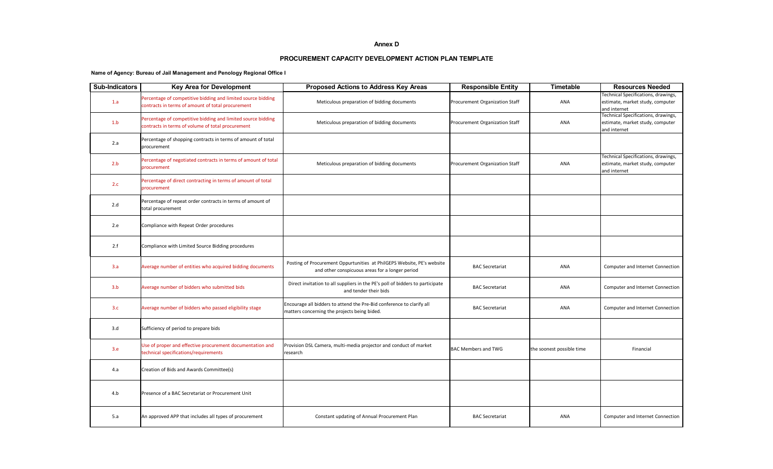#### **Annex D**

#### **PROCUREMENT CAPACITY DEVELOPMENT ACTION PLAN TEMPLATE**

#### **Name of Agency: Bureau of Jail Management and Penology Regional Office I**

| <b>Sub-Indicators</b> | Key Area for Development                                                                                          | <b>Proposed Actions to Address Key Areas</b>                                                                              | <b>Responsible Entity</b>      | <b>Timetable</b>          | <b>Resources Needed</b>                                                                 |
|-----------------------|-------------------------------------------------------------------------------------------------------------------|---------------------------------------------------------------------------------------------------------------------------|--------------------------------|---------------------------|-----------------------------------------------------------------------------------------|
| 1.a                   | Percentage of competitive bidding and limited source bidding<br>contracts in terms of amount of total procurement | Meticulous preparation of bidding documents                                                                               | Procurement Organization Staff | ANA                       | Technical Specifications, drawings,<br>estimate, market study, computer<br>and internet |
| 1.b                   | Percentage of competitive bidding and limited source bidding<br>contracts in terms of volume of total procurement | Meticulous preparation of bidding documents                                                                               | Procurement Organization Staff | ANA                       | Technical Specifications, drawings,<br>estimate, market study, computer<br>and internet |
| 2.a                   | Percentage of shopping contracts in terms of amount of total<br>procurement                                       |                                                                                                                           |                                |                           |                                                                                         |
| 2.b                   | Percentage of negotiated contracts in terms of amount of total<br>procurement                                     | Meticulous preparation of bidding documents                                                                               | Procurement Organization Staff | ANA                       | Technical Specifications, drawings,<br>estimate, market study, computer<br>and internet |
| 2.c                   | Percentage of direct contracting in terms of amount of total<br>procurement                                       |                                                                                                                           |                                |                           |                                                                                         |
| 2.d                   | Percentage of repeat order contracts in terms of amount of<br>total procurement                                   |                                                                                                                           |                                |                           |                                                                                         |
| 2.e                   | Compliance with Repeat Order procedures                                                                           |                                                                                                                           |                                |                           |                                                                                         |
| 2.f                   | Compliance with Limited Source Bidding procedures                                                                 |                                                                                                                           |                                |                           |                                                                                         |
| 3.a                   | Average number of entities who acquired bidding documents                                                         | Posting of Procurement Oppurtunities at PhilGEPS Website, PE's website<br>and other conspicuous areas for a longer period | <b>BAC Secretariat</b>         | ANA                       | Computer and Internet Connection                                                        |
| 3.b                   | Average number of bidders who submitted bids                                                                      | Direct invitation to all suppliers in the PE's poll of bidders to participate<br>and tender their bids                    | <b>BAC Secretariat</b>         | ANA                       | Computer and Internet Connection                                                        |
| 3.c                   | Average number of bidders who passed eligibility stage                                                            | Encourage all bidders to attend the Pre-Bid conference to clarify all<br>matters concerning the projects being bided.     | <b>BAC Secretariat</b>         | ANA                       | Computer and Internet Connection                                                        |
| 3.d                   | Sufficiency of period to prepare bids                                                                             |                                                                                                                           |                                |                           |                                                                                         |
| 3.e                   | Use of proper and effective procurement documentation and<br>technical specifications/requirements                | Provision DSL Camera, multi-media projector and conduct of market<br>research                                             | <b>BAC Members and TWG</b>     | the soonest possible time | Financial                                                                               |
| 4.a                   | Creation of Bids and Awards Committee(s)                                                                          |                                                                                                                           |                                |                           |                                                                                         |
| 4.b                   | Presence of a BAC Secretariat or Procurement Unit                                                                 |                                                                                                                           |                                |                           |                                                                                         |
| 5.a                   | An approved APP that includes all types of procurement                                                            | Constant updating of Annual Procurement Plan                                                                              | <b>BAC Secretariat</b>         | ANA                       | Computer and Internet Connection                                                        |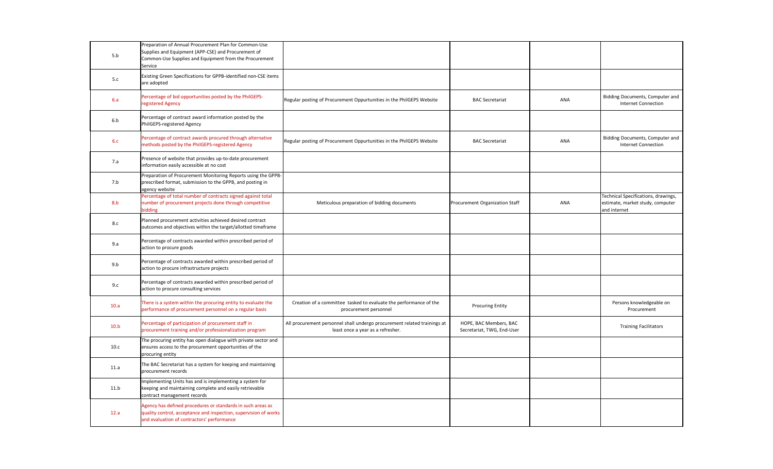| 5.b  | Preparation of Annual Procurement Plan for Common-Use<br>Supplies and Equipment (APP-CSE) and Procurement of<br>Common-Use Supplies and Equipment from the Procurement<br>Service |                                                                                                               |                                                      |     |                                                                                         |
|------|-----------------------------------------------------------------------------------------------------------------------------------------------------------------------------------|---------------------------------------------------------------------------------------------------------------|------------------------------------------------------|-----|-----------------------------------------------------------------------------------------|
| 5.c  | Existing Green Specifications for GPPB-identified non-CSE items<br>are adopted                                                                                                    |                                                                                                               |                                                      |     |                                                                                         |
| 6.a  | Percentage of bid opportunities posted by the PhilGEPS-<br>registered Agency                                                                                                      | Regular posting of Procurement Oppurtunities in the PhilGEPS Website                                          | <b>BAC Secretariat</b>                               | ANA | Bidding Documents, Computer and<br><b>Internet Connection</b>                           |
| 6.b  | Percentage of contract award information posted by the<br>PhilGEPS-registered Agency                                                                                              |                                                                                                               |                                                      |     |                                                                                         |
| 6.c  | Percentage of contract awards procured through alternative<br>methods posted by the PhilGEPS-registered Agency                                                                    | Regular posting of Procurement Oppurtunities in the PhilGEPS Website                                          | <b>BAC Secretariat</b>                               | ANA | Bidding Documents, Computer and<br>Internet Connection                                  |
| 7.a  | Presence of website that provides up-to-date procurement<br>information easily accessible at no cost                                                                              |                                                                                                               |                                                      |     |                                                                                         |
| 7.b  | Preparation of Procurement Monitoring Reports using the GPPB-<br>prescribed format, submission to the GPPB, and posting in<br>agency website                                      |                                                                                                               |                                                      |     |                                                                                         |
| 8.b  | Percentage of total number of contracts signed against total<br>number of procurement projects done through competitive<br>bidding                                                | Meticulous preparation of bidding documents                                                                   | Procurement Organization Staff                       | ANA | Technical Specifications, drawings,<br>estimate, market study, computer<br>and internet |
| 8.c  | Planned procurement activities achieved desired contract<br>outcomes and objectives within the target/allotted timeframe                                                          |                                                                                                               |                                                      |     |                                                                                         |
| 9.a  | Percentage of contracts awarded within prescribed period of<br>action to procure goods                                                                                            |                                                                                                               |                                                      |     |                                                                                         |
| 9.b  | Percentage of contracts awarded within prescribed period of<br>action to procure infrastructure projects                                                                          |                                                                                                               |                                                      |     |                                                                                         |
| 9.c  | Percentage of contracts awarded within prescribed period of<br>action to procure consulting services                                                                              |                                                                                                               |                                                      |     |                                                                                         |
| 10.a | There is a system within the procuring entity to evaluate the<br>performance of procurement personnel on a regular basis                                                          | Creation of a committee tasked to evaluate the performance of the<br>procurement personnel                    | <b>Procuring Entity</b>                              |     | Persons knowledgeable on<br>Procurement                                                 |
| 10.b | Percentage of participation of procurement staff in<br>procurement training and/or professionalization program                                                                    | All procurement personnel shall undergo procurement related trainings at<br>least once a year as a refresher. | HOPE, BAC Members, BAC<br>Secretariat, TWG, End-User |     | <b>Training Facilitators</b>                                                            |
| 10.c | The procuring entity has open dialogue with private sector and<br>ensures access to the procurement opportunities of the<br>procuring entity                                      |                                                                                                               |                                                      |     |                                                                                         |
| 11.a | The BAC Secretariat has a system for keeping and maintaining<br>procurement records                                                                                               |                                                                                                               |                                                      |     |                                                                                         |
| 11.b | mplementing Units has and is implementing a system for<br>keeping and maintaining complete and easily retrievable<br>contract management records                                  |                                                                                                               |                                                      |     |                                                                                         |
| 12.a | Agency has defined procedures or standards in such areas as<br>quality control, acceptance and inspection, supervision of works<br>and evaluation of contractors' performance     |                                                                                                               |                                                      |     |                                                                                         |